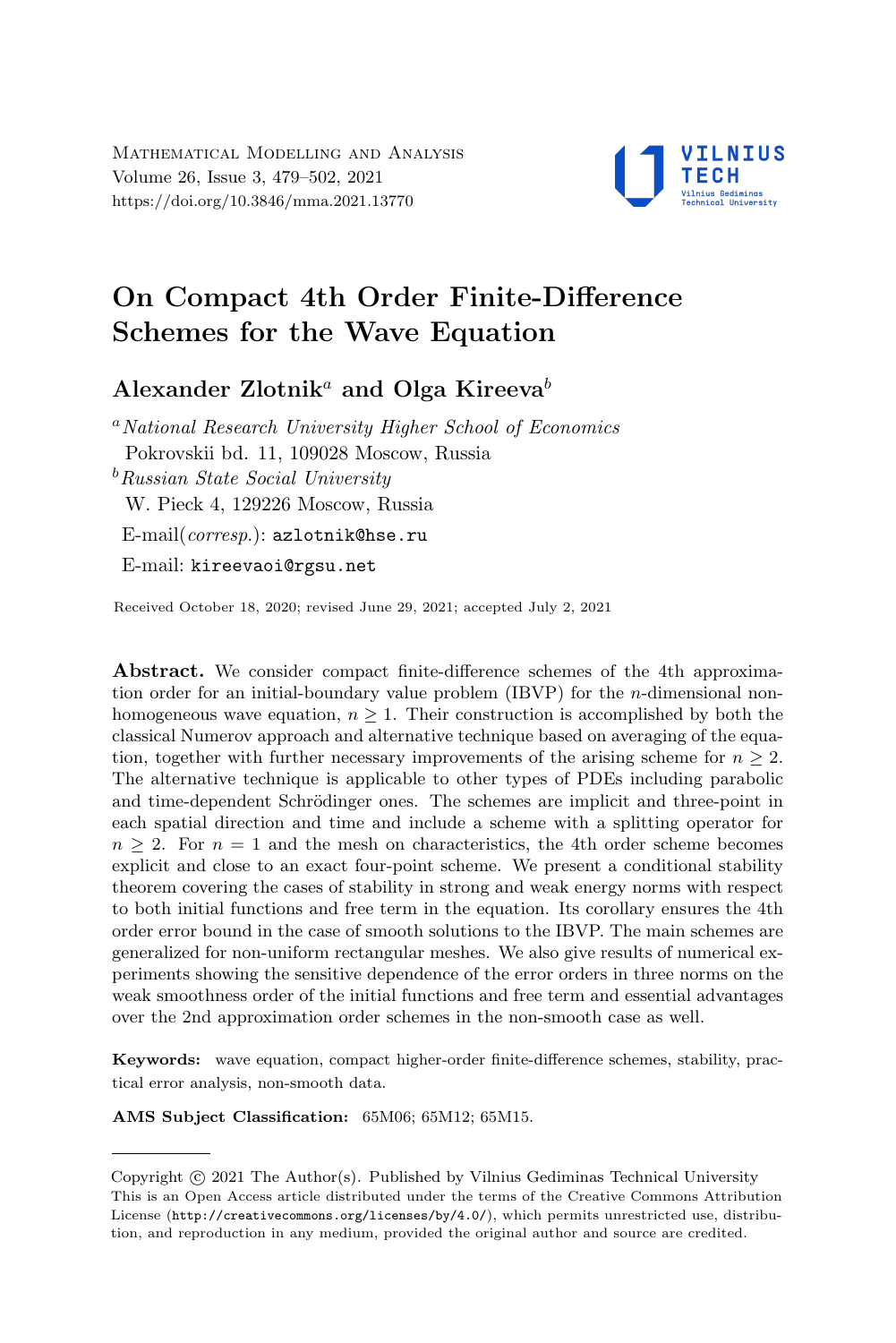

# On Compact 4th Order Finite-Difference Schemes for the Wave Equation

## Alexander Zlotnik<sup>a</sup> and Olga Kireeva<sup>b</sup>

<sup>a</sup>National Research University Higher School of Economics Pokrovskii bd. 11, 109028 Moscow, Russia  $b$ Russian State Social University W. Pieck 4, 129226 Moscow, Russia E-mail(corresp.): [azlotnik@hse.ru](mailto:azlotnik@hse.ru) E-mail: [kireevaoi@rgsu.net](mailto:kireevaoi@rgsu.net)

Received October 18, 2020; revised June 29, 2021; accepted July 2, 2021

Abstract. We consider compact finite-difference schemes of the 4th approximation order for an initial-boundary value problem  $(IBVP)$  for the *n*-dimensional nonhomogeneous wave equation,  $n \geq 1$ . Their construction is accomplished by both the classical Numerov approach and alternative technique based on averaging of the equation, together with further necessary improvements of the arising scheme for  $n \geq 2$ . The alternative technique is applicable to other types of PDEs including parabolic and time-dependent Schrödinger ones. The schemes are implicit and three-point in each spatial direction and time and include a scheme with a splitting operator for  $n \geq 2$ . For  $n = 1$  and the mesh on characteristics, the 4th order scheme becomes explicit and close to an exact four-point scheme. We present a conditional stability theorem covering the cases of stability in strong and weak energy norms with respect to both initial functions and free term in the equation. Its corollary ensures the 4th order error bound in the case of smooth solutions to the IBVP. The main schemes are generalized for non-uniform rectangular meshes. We also give results of numerical experiments showing the sensitive dependence of the error orders in three norms on the weak smoothness order of the initial functions and free term and essential advantages over the 2nd approximation order schemes in the non-smooth case as well.

Keywords: wave equation, compact higher-order finite-difference schemes, stability, practical error analysis, non-smooth data.

AMS Subject Classification: 65M06; 65M12; 65M15.

Copyright (C) 2021 The Author(s). Published by Vilnius Gediminas Technical University<br>This is an Open Access article distributed under the terms of the Creative Commons Attribution Copyright  $\odot$  2021 The Author(s). Published by Vilnius Gediminas Technical University License (<http://creativecommons.org/licenses/by/4.0/>), which permits unrestricted use, distribution, and reproduction in any medium, provided the original author and source are credited.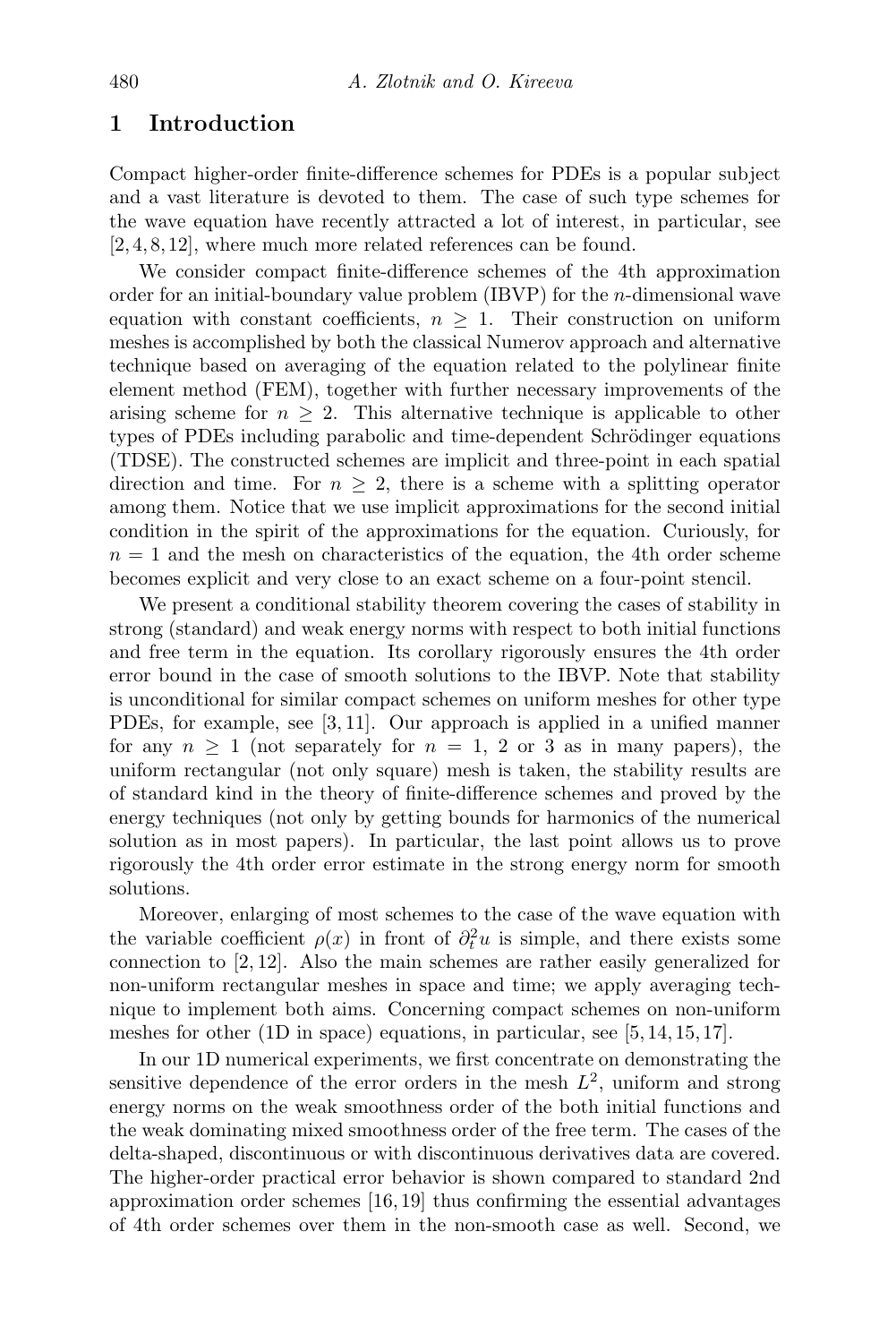## 1 Introduction

Compact higher-order finite-difference schemes for PDEs is a popular subject and a vast literature is devoted to them. The case of such type schemes for the wave equation have recently attracted a lot of interest, in particular, see [\[2,](#page-22-0) [4,](#page-22-1) [8,](#page-22-2) [12\]](#page-23-0), where much more related references can be found.

We consider compact finite-difference schemes of the 4th approximation order for an initial-boundary value problem (IBVP) for the n-dimensional wave equation with constant coefficients,  $n \geq 1$ . Their construction on uniform meshes is accomplished by both the classical Numerov approach and alternative technique based on averaging of the equation related to the polylinear finite element method (FEM), together with further necessary improvements of the arising scheme for  $n \geq 2$ . This alternative technique is applicable to other types of PDEs including parabolic and time-dependent Schrödinger equations (TDSE). The constructed schemes are implicit and three-point in each spatial direction and time. For  $n > 2$ , there is a scheme with a splitting operator among them. Notice that we use implicit approximations for the second initial condition in the spirit of the approximations for the equation. Curiously, for  $n = 1$  and the mesh on characteristics of the equation, the 4th order scheme becomes explicit and very close to an exact scheme on a four-point stencil.

We present a conditional stability theorem covering the cases of stability in strong (standard) and weak energy norms with respect to both initial functions and free term in the equation. Its corollary rigorously ensures the 4th order error bound in the case of smooth solutions to the IBVP. Note that stability is unconditional for similar compact schemes on uniform meshes for other type PDEs, for example, see [\[3,](#page-22-3) [11\]](#page-23-1). Our approach is applied in a unified manner for any  $n \geq 1$  (not separately for  $n = 1, 2$  or 3 as in many papers), the uniform rectangular (not only square) mesh is taken, the stability results are of standard kind in the theory of finite-difference schemes and proved by the energy techniques (not only by getting bounds for harmonics of the numerical solution as in most papers). In particular, the last point allows us to prove rigorously the 4th order error estimate in the strong energy norm for smooth solutions.

Moreover, enlarging of most schemes to the case of the wave equation with the variable coefficient  $\rho(x)$  in front of  $\partial_t^2 u$  is simple, and there exists some connection to [\[2,](#page-22-0) [12\]](#page-23-0). Also the main schemes are rather easily generalized for non-uniform rectangular meshes in space and time; we apply averaging technique to implement both aims. Concerning compact schemes on non-uniform meshes for other (1D in space) equations, in particular, see [\[5,](#page-22-4) [14,](#page-23-2) [15,](#page-23-3) [17\]](#page-23-4).

In our 1D numerical experiments, we first concentrate on demonstrating the sensitive dependence of the error orders in the mesh  $L^2$ , uniform and strong energy norms on the weak smoothness order of the both initial functions and the weak dominating mixed smoothness order of the free term. The cases of the delta-shaped, discontinuous or with discontinuous derivatives data are covered. The higher-order practical error behavior is shown compared to standard 2nd approximation order schemes [\[16,](#page-23-5) [19\]](#page-23-6) thus confirming the essential advantages of 4th order schemes over them in the non-smooth case as well. Second, we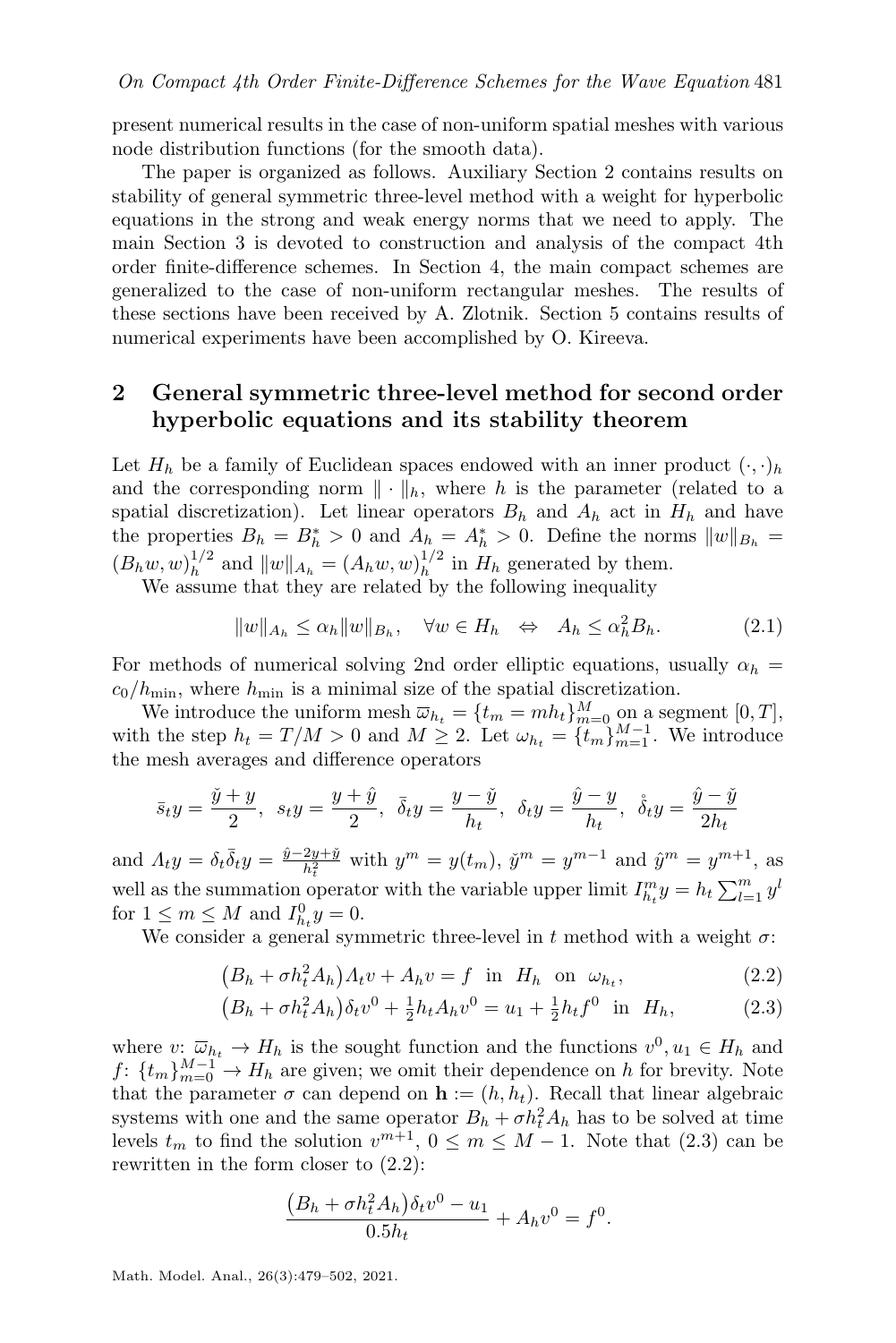present numerical results in the case of non-uniform spatial meshes with various node distribution functions (for the smooth data).

The paper is organized as follows. Auxiliary Section [2](#page-2-0) contains results on stability of general symmetric three-level method with a weight for hyperbolic equations in the strong and weak energy norms that we need to apply. The main Section [3](#page-4-0) is devoted to construction and analysis of the compact 4th order finite-difference schemes. In Section [4,](#page-15-0) the main compact schemes are generalized to the case of non-uniform rectangular meshes. The results of these sections have been received by A. Zlotnik. Section [5](#page-17-0) contains results of numerical experiments have been accomplished by O. Kireeva.

## <span id="page-2-0"></span>2 General symmetric three-level method for second order hyperbolic equations and its stability theorem

Let  $H_h$  be a family of Euclidean spaces endowed with an inner product  $(\cdot, \cdot)_h$ and the corresponding norm  $\|\cdot\|_h$ , where h is the parameter (related to a spatial discretization). Let linear operators  $B_h$  and  $A_h$  act in  $H_h$  and have the properties  $B_h = B_h^* > 0$  and  $A_h = A_h^* > 0$ . Define the norms  $||w||_{B_h} =$  $(B_h w, w)_h^{1/2}$  $\int_{h}^{1/2}$  and  $||w||_{A_h} = (A_h w, w)_h^{1/2}$  $h^{1/2}$  in  $H_h$  generated by them.

We assume that they are related by the following inequality

<span id="page-2-3"></span>
$$
||w||_{A_h} \le \alpha_h ||w||_{B_h}, \quad \forall w \in H_h \quad \Leftrightarrow \quad A_h \le \alpha_h^2 B_h. \tag{2.1}
$$

For methods of numerical solving 2nd order elliptic equations, usually  $\alpha_h$  =  $c_0/h_{\text{min}}$ , where  $h_{\text{min}}$  is a minimal size of the spatial discretization.

We introduce the uniform mesh  $\overline{\omega}_{h_t} = \{t_m = mh_t\}_{m=0}^M$  on a segment  $[0, T]$ , with the step  $h_t = T/M > 0$  and  $M \geq 2$ . Let  $\omega_{h_t} = \{t_m\}_{m=1}^{M-1}$ . We introduce the mesh averages and difference operators

$$
\bar{s}_ty=\frac{\check{y}+y}{2},\ \ s_ty=\frac{y+\hat{y}}{2},\ \ \bar{\delta}_ty=\frac{y-\check{y}}{h_t},\ \ \delta_ty=\frac{\hat{y}-y}{h_t},\ \ \mathring{\delta}_ty=\frac{\hat{y}-\check{y}}{2h_t}
$$

and  $A_t y = \delta_t \overline{\delta}_t y = \frac{\hat{y} - 2y + \check{y}}{h^2}$  $\frac{2y+\check{y}}{h_{t}^{2}}$  with  $y^{m} = y(t_{m}), \check{y}^{m} = y^{m-1}$  and  $\hat{y}^{m} = y^{m+1}$ , as well as the summation operator with the variable upper limit  $I_{h_t}^m y = h_t \sum_{l=1}^m y^l$ for  $1 \leq m \leq M$  and  $I_{h_t}^0 y = 0$ .

We consider a general symmetric three-level in t method with a weight  $\sigma$ :

$$
(B_h + \sigma h_t^2 A_h) A_t v + A_h v = f \text{ in } H_h \text{ on } \omega_{h_t},
$$
\n(2.2)

$$
(B_h + \sigma h_t^2 A_h) \delta_t v^0 + \frac{1}{2} h_t A_h v^0 = u_1 + \frac{1}{2} h_t f^0 \text{ in } H_h,
$$
 (2.3)

where  $v: \overline{\omega}_{h_t} \to H_h$  is the sought function and the functions  $v^0, u_1 \in H_h$  and  $f: \{t_m\}_{m=0}^{M-1} \rightarrow H_h$  are given; we omit their dependence on h for brevity. Note that the parameter  $\sigma$  can depend on  $\mathbf{h} := (h, h_t)$ . Recall that linear algebraic systems with one and the same operator  $B_h + \sigma h_t^2 A_h$  has to be solved at time levels  $t_m$  to find the solution  $v^{m+1}$ ,  $0 \le m \le M - 1$ . Note that  $(2.3)$  can be rewritten in the form closer to [\(2.2\)](#page-2-2):

<span id="page-2-2"></span><span id="page-2-1"></span>
$$
\frac{(B_h + \sigma h_t^2 A_h)\delta_t v^0 - u_1}{0.5h_t} + A_h v^0 = f^0.
$$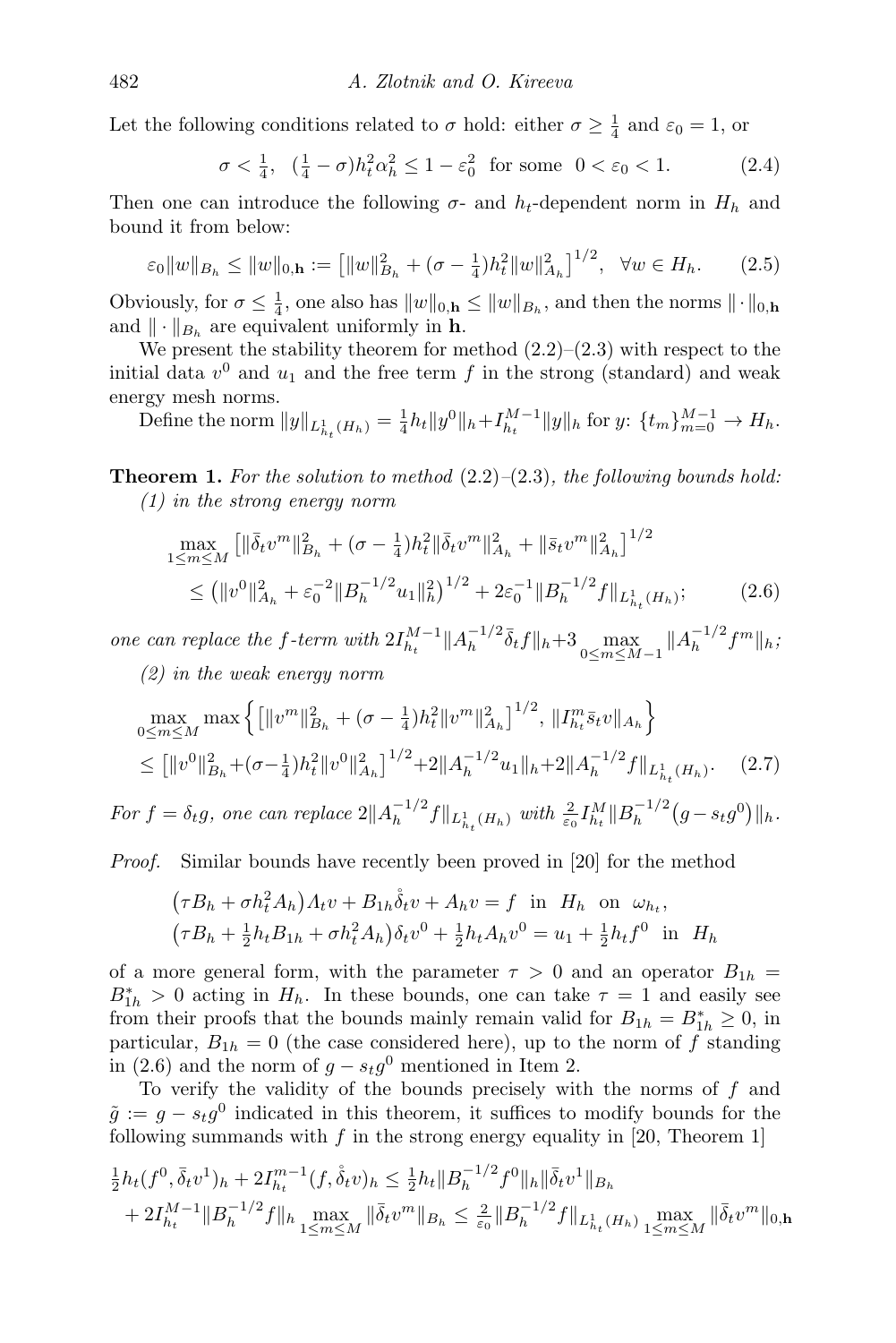Let the following conditions related to  $\sigma$  hold: either  $\sigma \geq \frac{1}{4}$  and  $\varepsilon_0 = 1$ , or

<span id="page-3-3"></span><span id="page-3-1"></span>
$$
\sigma < \frac{1}{4}, \quad \left(\frac{1}{4} - \sigma\right)h_t^2 \alpha_h^2 \le 1 - \varepsilon_0^2 \quad \text{for some} \quad 0 < \varepsilon_0 < 1. \tag{2.4}
$$

Then one can introduce the following  $\sigma$ - and  $h_t$ -dependent norm in  $H_h$  and bound it from below:

$$
\varepsilon_0 \|w\|_{B_h} \le \|w\|_{0,\mathbf{h}} := \left[ \|w\|_{B_h}^2 + (\sigma - \frac{1}{4})h_t^2 \|w\|_{A_h}^2 \right]^{1/2}, \ \forall w \in H_h. \tag{2.5}
$$

Obviously, for  $\sigma \leq \frac{1}{4}$ , one also has  $||w||_{0,\mathbf{h}} \leq ||w||_{B_h}$ , and then the norms  $||\cdot||_{0,\mathbf{h}}$ and  $\|\cdot\|_{B_h}$  are equivalent uniformly in h.

We present the stability theorem for method  $(2.2)$ – $(2.3)$  with respect to the initial data  $v^0$  and  $u_1$  and the free term f in the strong (standard) and weak energy mesh norms.

<span id="page-3-4"></span>Define the norm  $||y||_{L^1_{h_t}(H_h)} = \frac{1}{4}h_t||y^0||_h + I_{h_t}^{M-1}||y||_h$  for  $y: \{t_m\}_{m=0}^{M-1} \to H_h$ .

**Theorem 1.** For the solution to method  $(2.2)$ – $(2.3)$ , the following bounds hold: (1) in the strong energy norm

<span id="page-3-0"></span>
$$
\max_{1 \le m \le M} \left[ \|\bar{\delta}_t v^m\|_{B_h}^2 + (\sigma - \frac{1}{4}) h_t^2 \|\bar{\delta}_t v^m\|_{A_h}^2 + \|\bar{s}_t v^m\|_{A_h}^2 \right]^{1/2} \n\le (\|v^0\|_{A_h}^2 + \varepsilon_0^{-2} \|B_h^{-1/2} u_1\|_h^2)^{1/2} + 2\varepsilon_0^{-1} \|B_h^{-1/2} f\|_{L_{h_t}^1(H_h)}; \tag{2.6}
$$

one can replace the f-term with  $2I_{h_t}^{M-1} || A_h^{-1/2}$  $\frac{-1}{2}\bar{\delta}_t f||_h + 3 \max_{0 \le m \le M-1} ||A_h^{-1/2}$  $\int_{h}^{-1/2} f^{m} \|_{h}$ 

(2) in the weak energy norm

$$
\max_{0 \le m \le M} \max \left\{ \left[ \|v^m\|_{B_h}^2 + (\sigma - \frac{1}{4}) h_t^2 \|v^m\|_{A_h}^2 \right]^{1/2}, \|I_{h_t}^m \bar{s}_t v\|_{A_h} \right\}
$$
\n
$$
\leq \left[ \|v^0\|_{B_h}^2 + (\sigma - \frac{1}{4}) h_t^2 \|v^0\|_{A_h}^2 \right]^{1/2} + 2 \|A_h^{-1/2} u_1\|_{h} + 2 \|A_h^{-1/2} f\|_{L_{h_t}^1(H_h)}.\tag{2.7}
$$

For  $f = \delta_t g$ , one can replace  $2||A_h^{-1/2}$  $\frac{1}{h}$ <sup>-1/2</sup> $f\|_{L^1_{h_t}(H_h)}$  with  $\frac{2}{\varepsilon_0} I_{h_t}^M \|B_h^{-1/2}$  $\int_{h}^{-1/2} (g - s_t g^0) ||_h.$ 

Proof. Similar bounds have recently been proved in [\[20\]](#page-23-7) for the method

<span id="page-3-2"></span>
$$
(\tau B_h + \sigma h_t^2 A_h) A_t v + B_{1h} \dot{\delta}_t v + A_h v = f \text{ in } H_h \text{ on } \omega_{h_t},
$$
  

$$
(\tau B_h + \frac{1}{2} h_t B_{1h} + \sigma h_t^2 A_h) \delta_t v^0 + \frac{1}{2} h_t A_h v^0 = u_1 + \frac{1}{2} h_t f^0 \text{ in } H_h
$$

of a more general form, with the parameter  $\tau > 0$  and an operator  $B_{1h}$  $B_{1h}^* > 0$  acting in  $H_h$ . In these bounds, one can take  $\tau = 1$  and easily see from their proofs that the bounds mainly remain valid for  $B_{1h} = B_{1h}^* \geq 0$ , in particular,  $B_{1h} = 0$  (the case considered here), up to the norm of f standing in [\(2.6\)](#page-3-0) and the norm of  $g - s_t g^0$  mentioned in Item 2.

To verify the validity of the bounds precisely with the norms of  $f$  and  $\tilde{g} := g - s_t g^0$  indicated in this theorem, it suffices to modify bounds for the following summands with  $f$  in the strong energy equality in [\[20,](#page-23-7) Theorem 1]

$$
\frac{1}{2}h_t(f^0, \bar{\delta}_t v^1)_h + 2I_{h_t}^{m-1}(f, \dot{\bar{\delta}}_t v)_h \leq \frac{1}{2}h_t \|B_h^{-1/2} f^0\|_h \|\bar{\delta}_t v^1\|_{B_h}
$$
  
+  $2I_{h_t}^{M-1} \|B_h^{-1/2} f\|_h \max_{1 \leq m \leq M} \|\bar{\delta}_t v^m\|_{B_h} \leq \frac{2}{\varepsilon_0} \|B_h^{-1/2} f\|_{L_{h_t}^1(H_h)} \max_{1 \leq m \leq M} \|\bar{\delta}_t v^m\|_{0,\mathbf{h}}$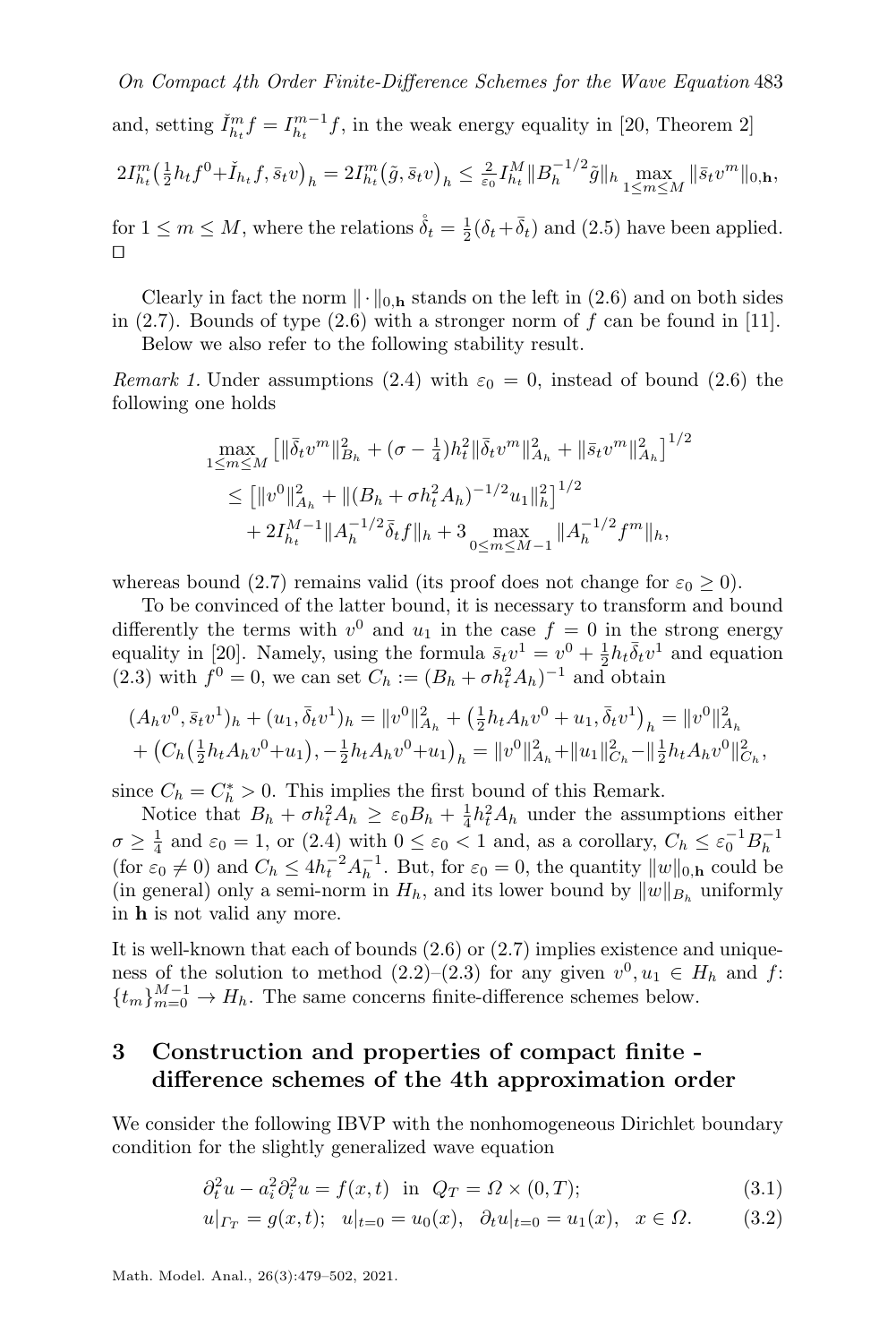On Compact 4th Order Finite-Difference Schemes for the Wave Equation 483 and, setting  $\tilde{I}_{h_t}^m f = I_{h_t}^{m-1} f$ , in the weak energy equality in [\[20,](#page-23-7) Theorem 2]  $2I_{h_t}^m(\frac{1}{2}h_tf^0+\check{I}_{h_t}f,\bar{s}_tv)_h = 2I_{h_t}^m(\tilde{g},\bar{s}_tv)_h \leq \frac{2}{\varepsilon_0}I_{h_t}^M\|B_h^{-1/2}$  $\|\bar{s}_k^{-1/2} \tilde{g}\|_{h} \max_{1 \le m \le M} \|\bar{s}_t v^m\|_{0,\mathbf{h}},$ 

for  $1 \leq m \leq M$ , where the relations  $\mathring{\delta}_t = \frac{1}{2}(\delta_t + \bar{\delta}_t)$  and [\(2.5\)](#page-3-1) have been applied.  $\Box$ 

Clearly in fact the norm  $\|\cdot\|_{0,h}$  stands on the left in [\(2.6\)](#page-3-0) and on both sides in  $(2.7)$ . Bounds of type  $(2.6)$  with a stronger norm of f can be found in [\[11\]](#page-23-1).

Below we also refer to the following stability result.

Remark 1. Under assumptions [\(2.4\)](#page-3-3) with  $\varepsilon_0 = 0$ , instead of bound [\(2.6\)](#page-3-0) the following one holds

<span id="page-4-3"></span>
$$
\max_{1 \le m \le M} \left[ \|\bar{\delta}_t v^m\|_{B_h}^2 + (\sigma - \frac{1}{4})h_t^2 \|\bar{\delta}_t v^m\|_{A_h}^2 + \|\bar{s}_t v^m\|_{A_h}^2 \right]^{1/2}
$$
\n
$$
\le \left[ \|v^0\|_{A_h}^2 + \|(B_h + \sigma h_t^2 A_h)^{-1/2} u_1\|_h^2 \right]^{1/2}
$$
\n
$$
+ 2I_{h_t}^{M-1} \|A_h^{-1/2} \bar{\delta}_t f\|_h + 3 \max_{0 \le m \le M-1} \|A_h^{-1/2} f^m\|_h,
$$

whereas bound [\(2.7\)](#page-3-2) remains valid (its proof does not change for  $\varepsilon_0 \geq 0$ ).

To be convinced of the latter bound, it is necessary to transform and bound differently the terms with  $v^0$  and  $u_1$  in the case  $f = 0$  in the strong energy equality in [\[20\]](#page-23-7). Namely, using the formula  $\bar{s}_t v^1 = v^0 + \frac{1}{2} h_t \bar{\delta}_t v^1$  and equation [\(2.3\)](#page-2-1) with  $f^0 = 0$ , we can set  $C_h := (B_h + \sigma h_t^2 A_h)^{-1}$  and obtain

$$
(A_h v^0, \bar{s}_t v^1)_h + (u_1, \bar{\delta}_t v^1)_h = ||v^0||_{A_h}^2 + (\frac{1}{2} h_t A_h v^0 + u_1, \bar{\delta}_t v^1)_h = ||v^0||_{A_h}^2 + (C_h(\frac{1}{2} h_t A_h v^0 + u_1), -\frac{1}{2} h_t A_h v^0 + u_1)_h = ||v^0||_{A_h}^2 + ||u_1||_{C_h}^2 - ||\frac{1}{2} h_t A_h v^0||_{C_h}^2,
$$

since  $C_h = C_h^* > 0$ . This implies the first bound of this Remark.

Notice that  $B_h + \sigma h_t^2 A_h \geq \varepsilon_0 B_h + \frac{1}{4} h_t^2 A_h$  under the assumptions either  $\sigma \geq \frac{1}{4}$  and  $\varepsilon_0 = 1$ , or [\(2.4\)](#page-3-3) with  $0 \leq \varepsilon_0 < 1$  and, as a corollary,  $C_h \leq \varepsilon_0^{-1} B_h^{-1}$ (for  $\varepsilon_0 \neq 0$ ) and  $C_h \leq 4h_t^{-2}A_h^{-1}$ . But, for  $\varepsilon_0 = 0$ , the quantity  $||w||_{0,\mathbf{h}}$  could be (in general) only a semi-norm in  $H_h$ , and its lower bound by  $||w||_{B_h}$  uniformly in h is not valid any more.

It is well-known that each of bounds [\(2.6\)](#page-3-0) or [\(2.7\)](#page-3-2) implies existence and uniqueness of the solution to method  $(2.2)$ – $(2.3)$  for any given  $v^0, u_1 \in H_h$  and f:  ${t_m}_{m=0}^{M-1} \rightarrow H_h$ . The same concerns finite-difference schemes below.

## <span id="page-4-0"></span>3 Construction and properties of compact finite difference schemes of the 4th approximation order

We consider the following IBVP with the nonhomogeneous Dirichlet boundary condition for the slightly generalized wave equation

<span id="page-4-2"></span><span id="page-4-1"></span>
$$
\partial_t^2 u - a_i^2 \partial_i^2 u = f(x, t) \text{ in } Q_T = \Omega \times (0, T); \tag{3.1}
$$

$$
u|_{\Gamma_T} = g(x,t); \quad u|_{t=0} = u_0(x), \quad \partial_t u|_{t=0} = u_1(x), \quad x \in \Omega. \tag{3.2}
$$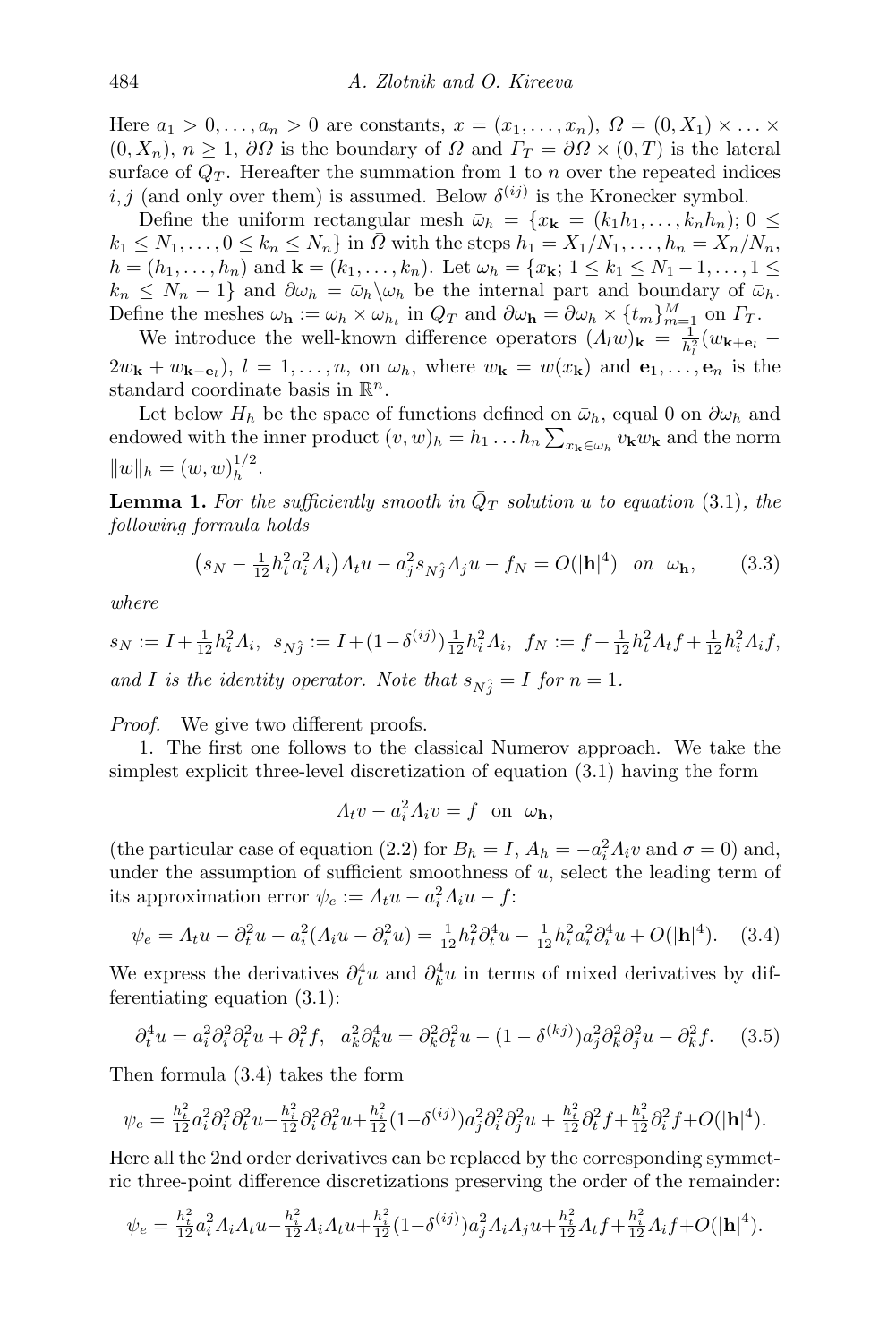Here  $a_1 > 0, \ldots, a_n > 0$  are constants,  $x = (x_1, \ldots, x_n), \Omega = (0, X_1) \times \ldots \times$  $(0, X_n)$ ,  $n \geq 1$ ,  $\partial\Omega$  is the boundary of  $\Omega$  and  $\Gamma_T = \partial\Omega \times (0, T)$  is the lateral surface of  $Q_T$ . Hereafter the summation from 1 to n over the repeated indices *i*, *j* (and only over them) is assumed. Below  $\delta^{(ij)}$  is the Kronecker symbol.

Define the uniform rectangular mesh  $\bar{\omega}_h = \{x_k = (k_1h_1, \ldots, k_nh_n); 0 \leq$  $k_1 \leq N_1, \ldots, 0 \leq k_n \leq N_n$  in  $\overline{\Omega}$  with the steps  $h_1 = X_1/N_1, \ldots, h_n = X_n/N_n$ ,  $h = (h_1, \ldots, h_n)$  and  $\mathbf{k} = (k_1, \ldots, k_n)$ . Let  $\omega_h = \{x_{\mathbf{k}}; 1 \leq k_1 \leq N_1 - 1, \ldots, 1 \leq k_2 \}$  $k_n \leq N_n - 1$  and  $\partial \omega_h = \bar{\omega}_h \setminus \omega_h$  be the internal part and boundary of  $\bar{\omega}_h$ . Define the meshes  $\omega_{\mathbf{h}} := \omega_h \times \omega_{h_t}$  in  $Q_T$  and  $\partial \omega_{\mathbf{h}} = \partial \omega_h \times \{t_m\}_{m=1}^M$  on  $\overline{\Gamma}_T$ .

We introduce the well-known difference operators  $(\Lambda_l w)_{\mathbf{k}} = \frac{1}{h_l^2}(w_{\mathbf{k}+\mathbf{e}_l} 2w_{\mathbf{k}} + w_{\mathbf{k}-\mathbf{e}_l}$ ,  $l = 1, ..., n$ , on  $\omega_h$ , where  $w_{\mathbf{k}} = w(x_{\mathbf{k}})$  and  $\mathbf{e}_1, ..., \mathbf{e}_n$  is the standard coordinate basis in  $\mathbb{R}^n$ .

Let below  $H_h$  be the space of functions defined on  $\bar{\omega}_h$ , equal 0 on  $\partial \omega_h$  and endowed with the inner product  $(v, w)_h = h_1 \dots h_n \sum_{x_k \in \omega_h} v_k w_k$  and the norm  $||w||_h = (w, w)_h^{1/2}$  $\frac{1}{h}$ .

**Lemma 1.** For the sufficiently smooth in  $\overline{Q}_T$  solution u to equation [\(3.1\)](#page-4-1), the following formula holds

<span id="page-5-3"></span>
$$
(s_N - \frac{1}{12}h_t^2 a_i^2 A_i) A_t u - a_j^2 s_{Nj} A_j u - f_N = O(|\mathbf{h}|^4) \text{ on } \omega_{\mathbf{h}}, \qquad (3.3)
$$

where

$$
s_N := I + \frac{1}{12}h_i^2 \Lambda_i, \quad s_{N_J^2} := I + (1 - \delta^{(ij)})\frac{1}{12}h_i^2 \Lambda_i, \quad f_N := f + \frac{1}{12}h_i^2 \Lambda_t f + \frac{1}{12}h_i^2 \Lambda_i f,
$$
  
and I is the identity operator. Note that  $s_{N_J^2} = I$  for  $n = 1$ .

Proof. We give two different proofs.

1. The first one follows to the classical Numerov approach. We take the simplest explicit three-level discretization of equation [\(3.1\)](#page-4-1) having the form

<span id="page-5-2"></span><span id="page-5-1"></span><span id="page-5-0"></span>
$$
A_t v - a_i^2 A_i v = f \text{ on } \omega_{\mathbf{h}},
$$

(the particular case of equation [\(2.2\)](#page-2-2) for  $B_h = I$ ,  $A_h = -a_i^2 A_i v$  and  $\sigma = 0$ ) and, under the assumption of sufficient smoothness of  $u$ , select the leading term of its approximation error  $\psi_e := A_t u - a_i^2 A_i u - f$ :

$$
\psi_e = \Lambda_t u - \partial_t^2 u - a_i^2 (\Lambda_i u - \partial_i^2 u) = \frac{1}{12} h_t^2 \partial_t^4 u - \frac{1}{12} h_i^2 a_i^2 \partial_i^4 u + O(|\mathbf{h}|^4). \tag{3.4}
$$

We express the derivatives  $\partial_t^4 u$  and  $\partial_k^4 u$  in terms of mixed derivatives by differentiating equation [\(3.1\)](#page-4-1):

$$
\partial_t^4 u = a_i^2 \partial_i^2 \partial_t^2 u + \partial_t^2 f, \quad a_k^2 \partial_k^4 u = \partial_k^2 \partial_t^2 u - (1 - \delta^{(kj)}) a_j^2 \partial_k^2 \partial_j^2 u - \partial_k^2 f. \tag{3.5}
$$

Then formula [\(3.4\)](#page-5-0) takes the form

$$
\psi_e = \frac{h_t^2}{12} a_i^2 \partial_i^2 \partial_t^2 u - \frac{h_i^2}{12} \partial_i^2 \partial_t^2 u + \frac{h_i^2}{12} (1 - \delta^{(ij)}) a_j^2 \partial_i^2 \partial_j^2 u + \frac{h_t^2}{12} \partial_t^2 f + \frac{h_i^2}{12} \partial_i^2 f + O(|\mathbf{h}|^4).
$$

Here all the 2nd order derivatives can be replaced by the corresponding symmetric three-point difference discretizations preserving the order of the remainder:

$$
\psi_e = \frac{h_i^2}{12} a_i^2 A_i A_t u - \frac{h_i^2}{12} A_i A_t u + \frac{h_i^2}{12} (1 - \delta^{(ij)}) a_j^2 A_i A_j u + \frac{h_i^2}{12} A_t f + \frac{h_i^2}{12} A_i f + O(|\mathbf{h}|^4).
$$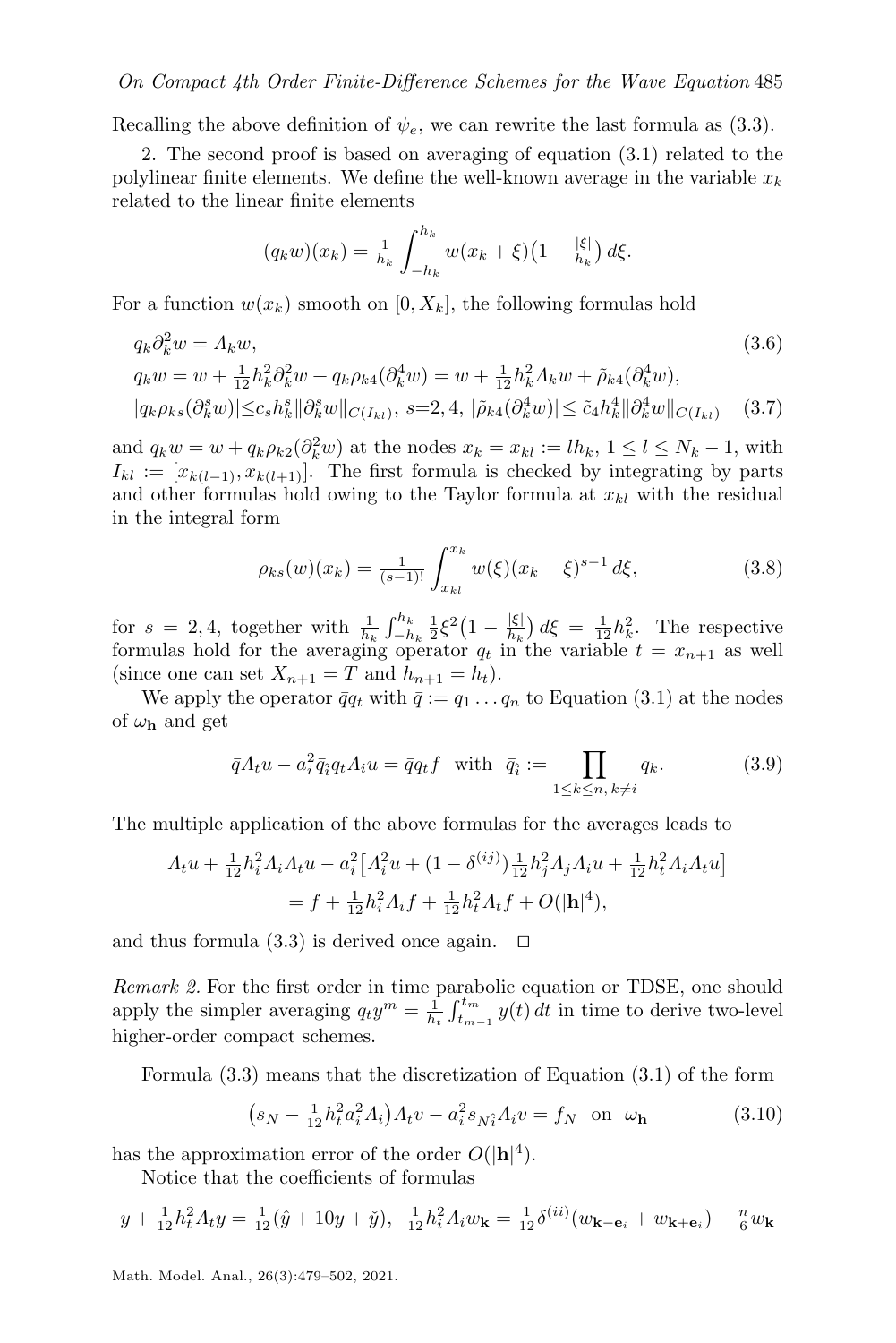Recalling the above definition of  $\psi_e$ , we can rewrite the last formula as [\(3.3\)](#page-5-1).

2. The second proof is based on averaging of equation [\(3.1\)](#page-4-1) related to the polylinear finite elements. We define the well-known average in the variable  $x_k$ related to the linear finite elements

<span id="page-6-3"></span><span id="page-6-2"></span>
$$
(q_k w)(x_k) = \frac{1}{h_k} \int_{-h_k}^{h_k} w(x_k + \xi) \left(1 - \frac{|\xi|}{h_k}\right) d\xi.
$$

For a function  $w(x_k)$  smooth on  $[0, X_k]$ , the following formulas hold

$$
q_k \partial_k^2 w = \Lambda_k w,
$$
\n
$$
(3.6)
$$
\n
$$
q_k w = w + \frac{1}{12} h_k^2 \partial_k^2 w + q_k \rho_{k4} (\partial_k^4 w) = w + \frac{1}{12} h_k^2 \Lambda_k w + \tilde{\rho}_{k4} (\partial_k^4 w),
$$
\n
$$
|q_k \rho_{ks} (\partial_k^s w)| \leq c_s h_k^s ||\partial_k^s w||_{C(I_{kl})}, \ s = 2, 4, \ |\tilde{\rho}_{k4} (\partial_k^4 w)| \leq \tilde{c}_4 h_k^4 ||\partial_k^4 w||_{C(I_{kl})} \quad (3.7)
$$

and  $q_k w = w + q_k \rho_{k2} (\partial_k^2 w)$  at the nodes  $x_k = x_{kl} := lh_k$ ,  $1 \leq l \leq N_k - 1$ , with  $I_{kl} := [x_{k(l-1)}, x_{k(l+1)}].$  The first formula is checked by integrating by parts and other formulas hold owing to the Taylor formula at  $x_{kl}$  with the residual in the integral form

<span id="page-6-4"></span>
$$
\rho_{ks}(w)(x_k) = \frac{1}{(s-1)!} \int_{x_{kl}}^{x_k} w(\xi)(x_k - \xi)^{s-1} d\xi,
$$
\n(3.8)

for  $s = 2, 4$ , together with  $\frac{1}{h_k} \int_{-h_k}^{h_k} \frac{1}{2} \xi^2 (1 - \frac{|\xi|}{h_k})$  $\frac{|\xi|}{h_k}$   $d\xi = \frac{1}{12}h_k^2$ . The respective formulas hold for the averaging operator  $q_t$  in the variable  $t = x_{n+1}$  as well (since one can set  $X_{n+1} = T$  and  $h_{n+1} = h_t$ ).

We apply the operator  $\bar{q}q_t$  with  $\bar{q} := q_1 \dots q_n$  to Equation [\(3.1\)](#page-4-1) at the nodes of  $\omega_{\mathbf{h}}$  and get

<span id="page-6-1"></span>
$$
\bar{q}A_t u - a_i^2 \bar{q}_i q_t A_i u = \bar{q}q_t f \quad \text{with} \quad \bar{q}_i := \prod_{1 \le k \le n, \, k \ne i} q_k. \tag{3.9}
$$

The multiple application of the above formulas for the averages leads to

$$
A_t u + \frac{1}{12} h_i^2 A_i A_t u - a_i^2 \left[ A_i^2 u + (1 - \delta^{(ij)}) \frac{1}{12} h_j^2 A_j A_i u + \frac{1}{12} h_t^2 A_i A_t u \right]
$$
  
=  $f + \frac{1}{12} h_i^2 A_i f + \frac{1}{12} h_t^2 A_t f + O(|\mathbf{h}|^4),$ 

and thus formula  $(3.3)$  is derived once again.  $\Box$ 

Remark 2. For the first order in time parabolic equation or TDSE, one should apply the simpler averaging  $q_t y^m = \frac{1}{h_t} \int_{t_{m-1}}^{t_m} y(t) dt$  in time to derive two-level higher-order compact schemes.

Formula [\(3.3\)](#page-5-1) means that the discretization of Equation [\(3.1\)](#page-4-1) of the form

<span id="page-6-0"></span>
$$
(s_N - \frac{1}{12}h_t^2 a_i^2 A_i) A_t v - a_i^2 s_{N_i^2} A_i v = f_N \text{ on } \omega_{\mathbf{h}}
$$
 (3.10)

has the approximation error of the order  $O(|\mathbf{h}|^4)$ .

Notice that the coefficients of formulas

$$
y + \frac{1}{12}h_t^2 A_t y = \frac{1}{12}(\hat{y} + 10y + \check{y}), \ \ \frac{1}{12}h_t^2 A_t w_{\mathbf{k}} = \frac{1}{12}\delta^{(ii)}(w_{\mathbf{k} - \mathbf{e}_i} + w_{\mathbf{k} + \mathbf{e}_i}) - \frac{n}{6}w_{\mathbf{k}}
$$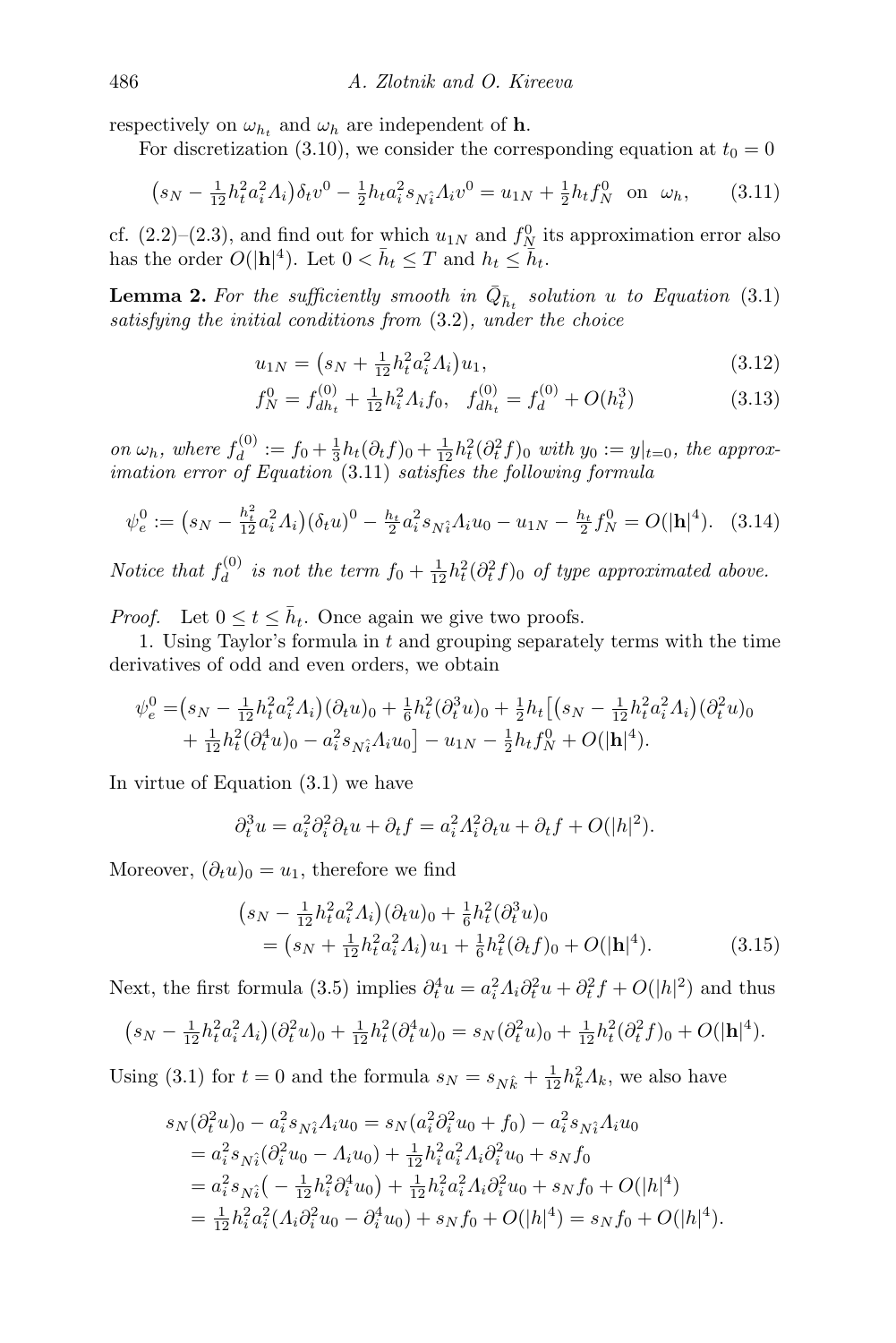respectively on  $\omega_{h_t}$  and  $\omega_h$  are independent of **h**.

For discretization [\(3.10\)](#page-6-0), we consider the corresponding equation at  $t_0 = 0$ 

$$
(s_N - \frac{1}{12}h_t^2 a_i^2 A_i)\delta_t v^0 - \frac{1}{2}h_t a_i^2 s_{Ni} A_i v^0 = u_{1N} + \frac{1}{2}h_t f_N^0 \text{ on } \omega_h,
$$
 (3.11)

cf. [\(2.2\)](#page-2-2)–[\(2.3\)](#page-2-1), and find out for which  $u_{1N}$  and  $f_N^0$  its approximation error also has the order  $O(|\mathbf{h}|^4)$ . Let  $0 < \bar{h}_t \leq T$  and  $h_t \leq \bar{h}_t$ .

**Lemma 2.** For the sufficiently smooth in  $\overline{Q}_{\overline{h}_t}$  solution u to Equation [\(3.1\)](#page-4-1) satisfying the initial conditions from [\(3.2\)](#page-4-2), under the choice

<span id="page-7-5"></span><span id="page-7-2"></span><span id="page-7-0"></span>
$$
u_{1N} = \left(s_N + \frac{1}{12}h_t^2 a_i^2 A_i\right) u_1,\tag{3.12}
$$

<span id="page-7-4"></span><span id="page-7-3"></span>
$$
f_N^0 = f_{dh_t}^{(0)} + \frac{1}{12} h_i^2 A_i f_0, \quad f_{dh_t}^{(0)} = f_d^{(0)} + O(h_t^3)
$$
 (3.13)

on  $\omega_h$ , where  $f_d^{(0)}$  $d_1^{(0)} := f_0 + \frac{1}{3}h_t(\partial_t f)_0 + \frac{1}{12}h_t^2(\partial_t^2 f)_0$  with  $y_0 := y|_{t=0}$ , the approximation error of Equation [\(3.11\)](#page-7-0) satisfies the following formula

$$
\psi_e^0 := \left(s_N - \frac{h_t^2}{12} a_i^2 \Lambda_i\right) (\delta_t u)^0 - \frac{h_t}{2} a_i^2 s_{N_i^2} \Lambda_i u_0 - u_{1N} - \frac{h_t}{2} f_N^0 = O(|\mathbf{h}|^4). \tag{3.14}
$$

Notice that  $f_d^{(0)}$  $\frac{d}{dt}$  is not the term  $f_0 + \frac{1}{12}h_t^2(\partial_t^2 f)_0$  of type approximated above.

*Proof.* Let  $0 \le t \le \bar{h}_t$ . Once again we give two proofs.

1. Using Taylor's formula in  $t$  and grouping separately terms with the time derivatives of odd and even orders, we obtain

$$
\psi_e^0 = (s_N - \frac{1}{12} h_t^2 a_i^2 A_i) (\partial_t u)_0 + \frac{1}{6} h_t^2 (\partial_t^3 u)_0 + \frac{1}{2} h_t \left[ (s_N - \frac{1}{12} h_t^2 a_i^2 A_i) (\partial_t^2 u)_0 + \frac{1}{12} h_t^2 (\partial_t^4 u)_0 - a_i^2 s_{N_t^2} A_i u_0 \right] - u_{1N} - \frac{1}{2} h_t f_N^0 + O(|\mathbf{h}|^4).
$$

In virtue of Equation [\(3.1\)](#page-4-1) we have

$$
\partial_t^3 u = a_i^2 \partial_i^2 \partial_t u + \partial_t f = a_i^2 A_i^2 \partial_t u + \partial_t f + O(|h|^2).
$$

Moreover,  $(\partial_t u)_0 = u_1$ , therefore we find

<span id="page-7-1"></span>
$$
(s_N - \frac{1}{12}h_t^2 a_i^2 \Lambda_i)(\partial_t u)_0 + \frac{1}{6}h_t^2(\partial_t^3 u)_0
$$
  
=  $(s_N + \frac{1}{12}h_t^2 a_i^2 \Lambda_i)u_1 + \frac{1}{6}h_t^2(\partial_t f)_0 + O(|\mathbf{h}|^4).$  (3.15)

Next, the first formula [\(3.5\)](#page-5-2) implies  $\partial_t^4 u = a_i^2 A_i \partial_t^2 u + \partial_t^2 f + O(|h|^2)$  and thus

$$
(s_N - \frac{1}{12}h_t^2 a_i^2 \Lambda_i)(\partial_t^2 u)_0 + \frac{1}{12}h_t^2(\partial_t^4 u)_0 = s_N(\partial_t^2 u)_0 + \frac{1}{12}h_t^2(\partial_t^2 f)_0 + O(|\mathbf{h}|^4).
$$

Using [\(3.1\)](#page-4-1) for  $t = 0$  and the formula  $s_N = s_{N\hat{k}} + \frac{1}{12}h_k^2 A_k$ , we also have

$$
s_N(\partial_t^2 u)_0 - a_i^2 s_{N_i^2} \Lambda_i u_0 = s_N(a_i^2 \partial_i^2 u_0 + f_0) - a_i^2 s_{N_i^2} \Lambda_i u_0
$$
  
\n
$$
= a_i^2 s_{N_i^2} (\partial_i^2 u_0 - \Lambda_i u_0) + \frac{1}{12} h_i^2 a_i^2 \Lambda_i \partial_i^2 u_0 + s_N f_0
$$
  
\n
$$
= a_i^2 s_{N_i^2} \left( -\frac{1}{12} h_i^2 \partial_i^4 u_0 \right) + \frac{1}{12} h_i^2 a_i^2 \Lambda_i \partial_i^2 u_0 + s_N f_0 + O(|h|^4)
$$
  
\n
$$
= \frac{1}{12} h_i^2 a_i^2 (\Lambda_i \partial_i^2 u_0 - \partial_i^4 u_0) + s_N f_0 + O(|h|^4) = s_N f_0 + O(|h|^4).
$$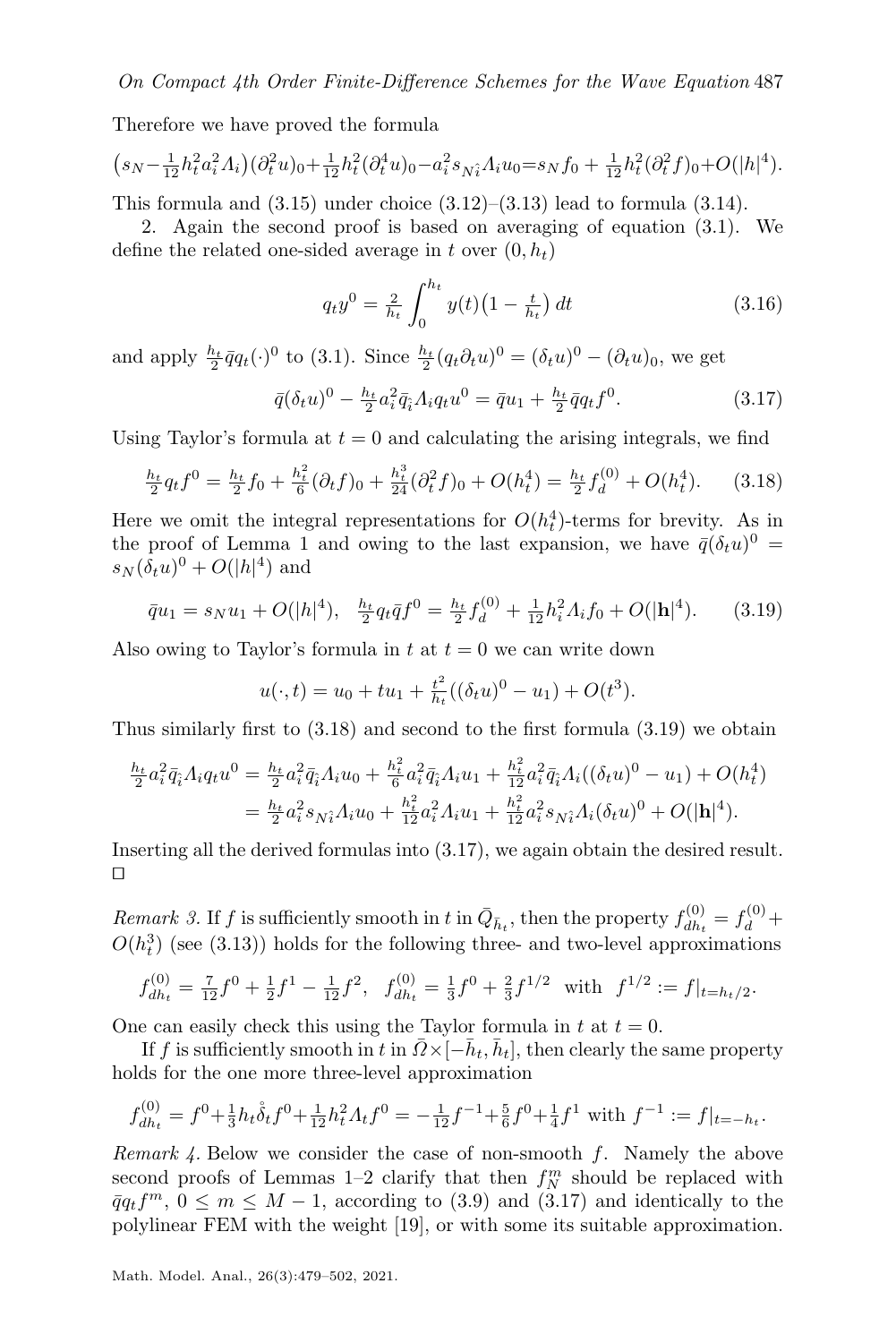Therefore we have proved the formula

$$
(s_N - \frac{1}{12}h_t^2 a_i^2 \Lambda_i)(\partial_t^2 u)_0 + \frac{1}{12}h_t^2(\partial_t^4 u)_0 - a_i^2 s_{N_t^2} \Lambda_i u_0 = s_N f_0 + \frac{1}{12}h_t^2(\partial_t^2 f)_0 + O(|h|^4).
$$

This formula and  $(3.15)$  under choice  $(3.12)$ – $(3.13)$  lead to formula  $(3.14)$ .

2. Again the second proof is based on averaging of equation [\(3.1\)](#page-4-1). We define the related one-sided average in t over  $(0, h_t)$ 

<span id="page-8-4"></span><span id="page-8-2"></span><span id="page-8-0"></span>
$$
q_t y^0 = \frac{2}{h_t} \int_0^{h_t} y(t) \left(1 - \frac{t}{h_t}\right) dt \tag{3.16}
$$

and apply  $\frac{h_t}{2}\bar{q}q_t(\cdot)^0$  to [\(3.1\)](#page-4-1). Since  $\frac{h_t}{2}(q_t\partial_t u)^0 = (\delta_t u)^0 - (\partial_t u)_0$ , we get

$$
\bar{q}(\delta_t u)^0 - \frac{h_t}{2} a_t^2 \bar{q}_i A_i q_t u^0 = \bar{q} u_1 + \frac{h_t}{2} \bar{q} q_t f^0.
$$
\n(3.17)

Using Taylor's formula at  $t = 0$  and calculating the arising integrals, we find

$$
\frac{h_t}{2}q_t f^0 = \frac{h_t}{2} f_0 + \frac{h_t^2}{6} (\partial_t f)_0 + \frac{h_t^3}{24} (\partial_t^2 f)_0 + O(h_t^4) = \frac{h_t}{2} f_d^{(0)} + O(h_t^4). \tag{3.18}
$$

Here we omit the integral representations for  $O(h_t^4)$ -terms for brevity. As in the proof of Lemma [1](#page-5-3) and owing to the last expansion, we have  $\bar{q}(\delta_t u)^0 =$  $s_N(\delta_t u)^0 + O(|h|^4)$  and

$$
\bar{q}u_1 = s_N u_1 + O(|h|^4), \quad \frac{h_t}{2} q_t \bar{q} f^0 = \frac{h_t}{2} f_d^{(0)} + \frac{1}{12} h_i^2 A_i f_0 + O(|h|^4). \tag{3.19}
$$

Also owing to Taylor's formula in t at  $t = 0$  we can write down

<span id="page-8-1"></span>
$$
u(\cdot, t) = u_0 + tu_1 + \frac{t^2}{h_t}((\delta_t u)^0 - u_1) + O(t^3).
$$

Thus similarly first to [\(3.18\)](#page-8-0) and second to the first formula [\(3.19\)](#page-8-1) we obtain

$$
\frac{h_t}{2} a_i^2 \bar{q}_i A_i q_t u^0 = \frac{h_t}{2} a_i^2 \bar{q}_i A_i u_0 + \frac{h_t^2}{6} a_i^2 \bar{q}_i A_i u_1 + \frac{h_t^2}{12} a_i^2 \bar{q}_i A_i ((\delta_t u)^0 - u_1) + O(h_t^4)
$$
  
= 
$$
\frac{h_t}{2} a_i^2 s_{N\hat{i}} A_i u_0 + \frac{h_t^2}{12} a_i^2 A_i u_1 + \frac{h_t^2}{12} a_i^2 s_{N\hat{i}} A_i (\delta_t u)^0 + O(|\mathbf{h}|^4).
$$

Inserting all the derived formulas into [\(3.17\)](#page-8-2), we again obtain the desired result.  $\Box$ 

Remark 3. If f is sufficiently smooth in t in  $\bar{Q}_{\bar{h}_t}$ , then the property  $f_{dh_t}^{(0)}$  $f_{dh_t}^{(0)} = f_d^{(0)} +$  $O(h_t^3)$  (see [\(3.13\)](#page-7-3)) holds for the following three- and two-level approximations

$$
f_{dh_t}^{(0)} = \frac{7}{12}f^0 + \frac{1}{2}f^1 - \frac{1}{12}f^2, \ \ f_{dh_t}^{(0)} = \frac{1}{3}f^0 + \frac{2}{3}f^{1/2} \ \ \text{with} \ \ f^{1/2} := f|_{t=h_t/2}.
$$

One can easily check this using the Taylor formula in  $t$  at  $t = 0$ .

If f is sufficiently smooth in t in  $\bar{Q} \times [-\bar{h}_t, \bar{h}_t]$ , then clearly the same property holds for the one more three-level approximation

$$
f_{dh_t}^{(0)} = f^0 + \frac{1}{3}h_t \mathring{\delta}_t f^0 + \frac{1}{12}h_t^2 A_t f^0 = -\frac{1}{12}f^{-1} + \frac{5}{6}f^0 + \frac{1}{4}f^1
$$
 with  $f^{-1} := f|_{t=-h_t}$ .

<span id="page-8-3"></span>Remark 4. Below we consider the case of non-smooth  $f$ . Namely the above second proofs of Lemmas [1](#page-5-3)[–2](#page-7-5) clarify that then  $f_N^m$  should be replaced with  $\overline{q}q_tf^m, 0 \leq m \leq M-1$ , according to [\(3.9\)](#page-6-1) and [\(3.17\)](#page-8-2) and identically to the polylinear FEM with the weight [\[19\]](#page-23-6), or with some its suitable approximation.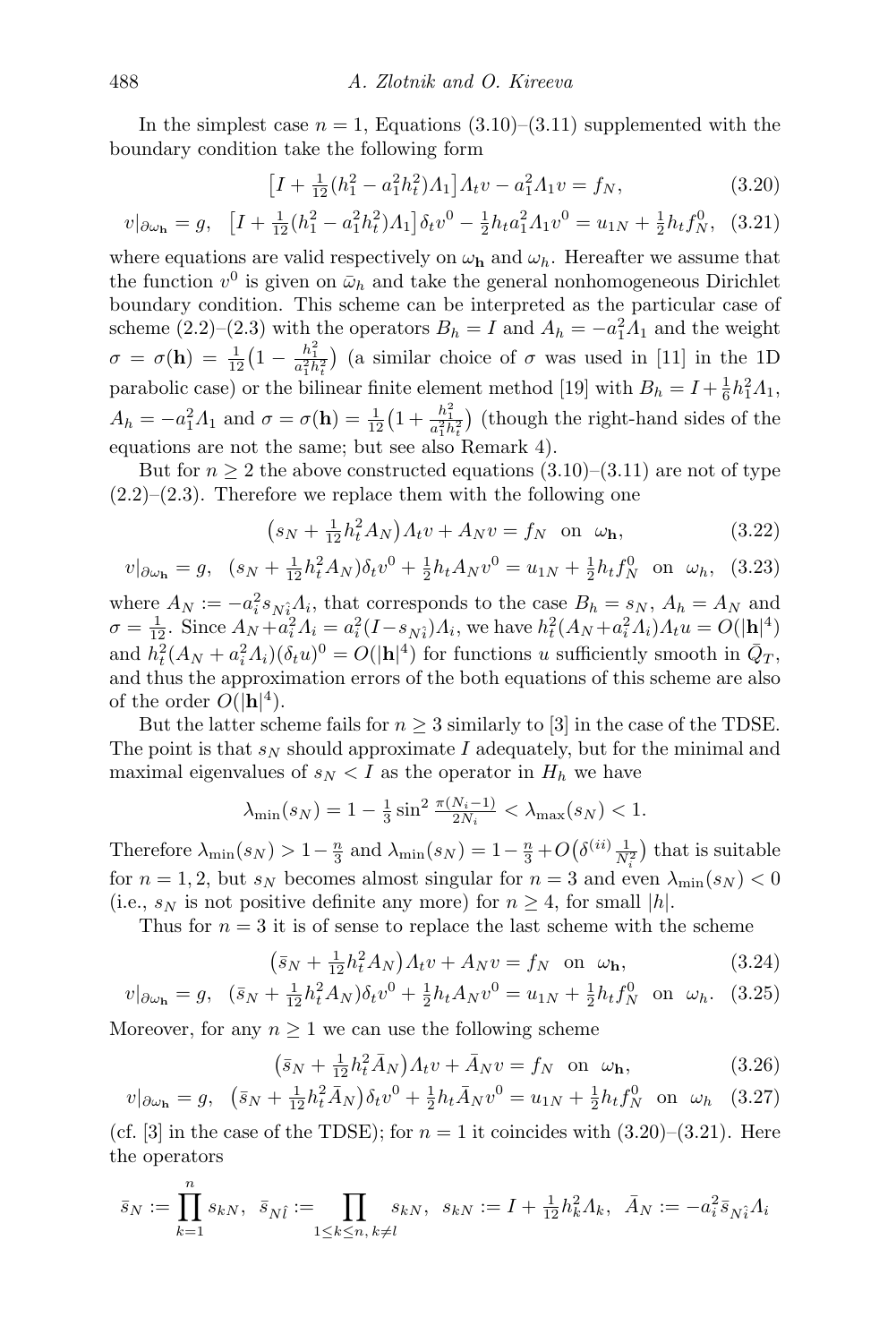In the simplest case  $n = 1$ , Equations [\(3.10\)](#page-6-0)–[\(3.11\)](#page-7-0) supplemented with the boundary condition take the following form

<span id="page-9-1"></span><span id="page-9-0"></span>
$$
\left[I + \frac{1}{12}(h_1^2 - a_1^2 h_t^2)A_1\right]A_t v - a_1^2 A_1 v = f_N,
$$
\n(3.20)

$$
v|_{\partial \omega_{\mathbf{h}}} = g, \quad \left[I + \frac{1}{12}(h_1^2 - a_1^2 h_t^2)A_1\right] \delta_t v^0 - \frac{1}{2}h_t a_1^2 A_1 v^0 = u_{1N} + \frac{1}{2}h_t f_N^0, \tag{3.21}
$$

where equations are valid respectively on  $\omega_{h}$  and  $\omega_{h}$ . Hereafter we assume that the function  $v^0$  is given on  $\bar{\omega}_h$  and take the general nonhomogeneous Dirichlet boundary condition. This scheme can be interpreted as the particular case of scheme [\(2.2\)](#page-2-2)–[\(2.3\)](#page-2-1) with the operators  $B_h = I$  and  $A_h = -a_1^2 A_1$  and the weight  $\sigma = \sigma(\mathbf{h}) = \frac{1}{12} \left(1 - \frac{h_1^2}{a_1^2 h_t^2}\right)$  (a similar choice of  $\sigma$  was used in [\[11\]](#page-23-1) in the 1D parabolic case) or the bilinear finite element method [\[19\]](#page-23-6) with  $B_h = I + \frac{1}{6}h_1^2 A_1$ ,  $A_h = -a_1^2 A_1$  and  $\sigma = \sigma(\mathbf{h}) = \frac{1}{12} \left(1 + \frac{h_1^2}{a_1^2 h_t^2}\right)$  (though the right-hand sides of the equations are not the same; but see also Remark [4\)](#page-8-3).

But for  $n \geq 2$  the above constructed equations  $(3.10)$ – $(3.11)$  are not of type  $(2.2)$ – $(2.3)$ . Therefore we replace them with the following one

<span id="page-9-5"></span><span id="page-9-4"></span>
$$
(s_N + \frac{1}{12}h_t^2 A_N)A_t v + A_N v = f_N \text{ on } \omega_h,
$$
 (3.22)

$$
v|_{\partial \omega_{\mathbf{h}}} = g, \quad (s_N + \frac{1}{12}h_t^2 A_N)\delta_t v^0 + \frac{1}{2}h_t A_N v^0 = u_{1N} + \frac{1}{2}h_t f_N^0 \quad \text{on} \quad \omega_h, \quad (3.23)
$$

where  $A_N := -a_i^2 s_{N_i} A_i$ , that corresponds to the case  $B_h = s_N$ ,  $A_h = A_N$  and  $\sigma = \frac{1}{12}$ . Since  $A_N + a_i^2 A_i = a_i^2 (I - s_{N_i}) A_i$ , we have  $h_t^2 (A_N + a_i^2 A_i) A_t u = O(|\mathbf{h}|^4)$ and  $h_t^2(A_N + a_i^2 A_i)(\delta_t u)^0 = O(|\mathbf{h}|^4)$  for functions u sufficiently smooth in  $\overline{Q}_T$ , and thus the approximation errors of the both equations of this scheme are also of the order  $O(|\mathbf{h}|^4)$ .

But the latter scheme fails for  $n \geq 3$  similarly to [\[3\]](#page-22-3) in the case of the TDSE. The point is that  $s_N$  should approximate I adequately, but for the minimal and maximal eigenvalues of  $s_N < I$  as the operator in  $H_h$  we have

$$
\lambda_{\min}(s_N) = 1 - \frac{1}{3}\sin^2\frac{\pi(N_i - 1)}{2N_i} < \lambda_{\max}(s_N) < 1.
$$

Therefore  $\lambda_{\min}(s_N) > 1 - \frac{n}{3}$  and  $\lambda_{\min}(s_N) = 1 - \frac{n}{3} + O(\delta^{(ii)} \frac{1}{N_i^2})$  that is suitable for  $n = 1, 2$ , but  $s_N$  becomes almost singular for  $n = 3$  and even  $\lambda_{\min}(s_N) < 0$ (i.e.,  $s_N$  is not positive definite any more) for  $n \geq 4$ , for small |h|.

Thus for  $n = 3$  it is of sense to replace the last scheme with the scheme

<span id="page-9-3"></span><span id="page-9-2"></span>
$$
(\bar{s}_N + \frac{1}{12}h_t^2 A_N)A_t v + A_N v = f_N \quad \text{on} \quad \omega_\mathbf{h},\tag{3.24}
$$

$$
v|_{\partial\omega_{\mathbf{h}}} = g, \quad (\bar{s}_N + \frac{1}{12}h_t^2 A_N)\delta_t v^0 + \frac{1}{2}h_t A_N v^0 = u_{1N} + \frac{1}{2}h_t f_N^0 \quad \text{on} \quad \omega_h. \tag{3.25}
$$

Moreover, for any  $n \geq 1$  we can use the following scheme

<span id="page-9-7"></span><span id="page-9-6"></span>
$$
(\bar{s}_N + \frac{1}{12}h_t^2 \bar{A}_N)A_t v + \bar{A}_N v = f_N \text{ on } \omega_\mathbf{h},
$$
\n(3.26)

$$
v|_{\partial \omega_{\mathbf{h}}} = g, \quad (\bar{s}_N + \frac{1}{12} h_t^2 \bar{A}_N) \delta_t v^0 + \frac{1}{2} h_t \bar{A}_N v^0 = u_{1N} + \frac{1}{2} h_t f_N^0 \quad \text{on} \quad \omega_h \quad (3.27)
$$

(cf. [\[3\]](#page-22-3) in the case of the TDSE); for  $n = 1$  it coincides with  $(3.20)$ – $(3.21)$ . Here the operators

$$
\bar{s}_N := \prod_{k=1}^n s_{kN}, \ \ \bar{s}_{N\hat{l}} := \prod_{1 \le k \le n, \ k \ne l} s_{kN}, \ \ s_{kN} := I + \frac{1}{12} h_k^2 \Lambda_k, \ \ \bar{A}_N := -a_i^2 \bar{s}_{N\hat{i}} \Lambda_i
$$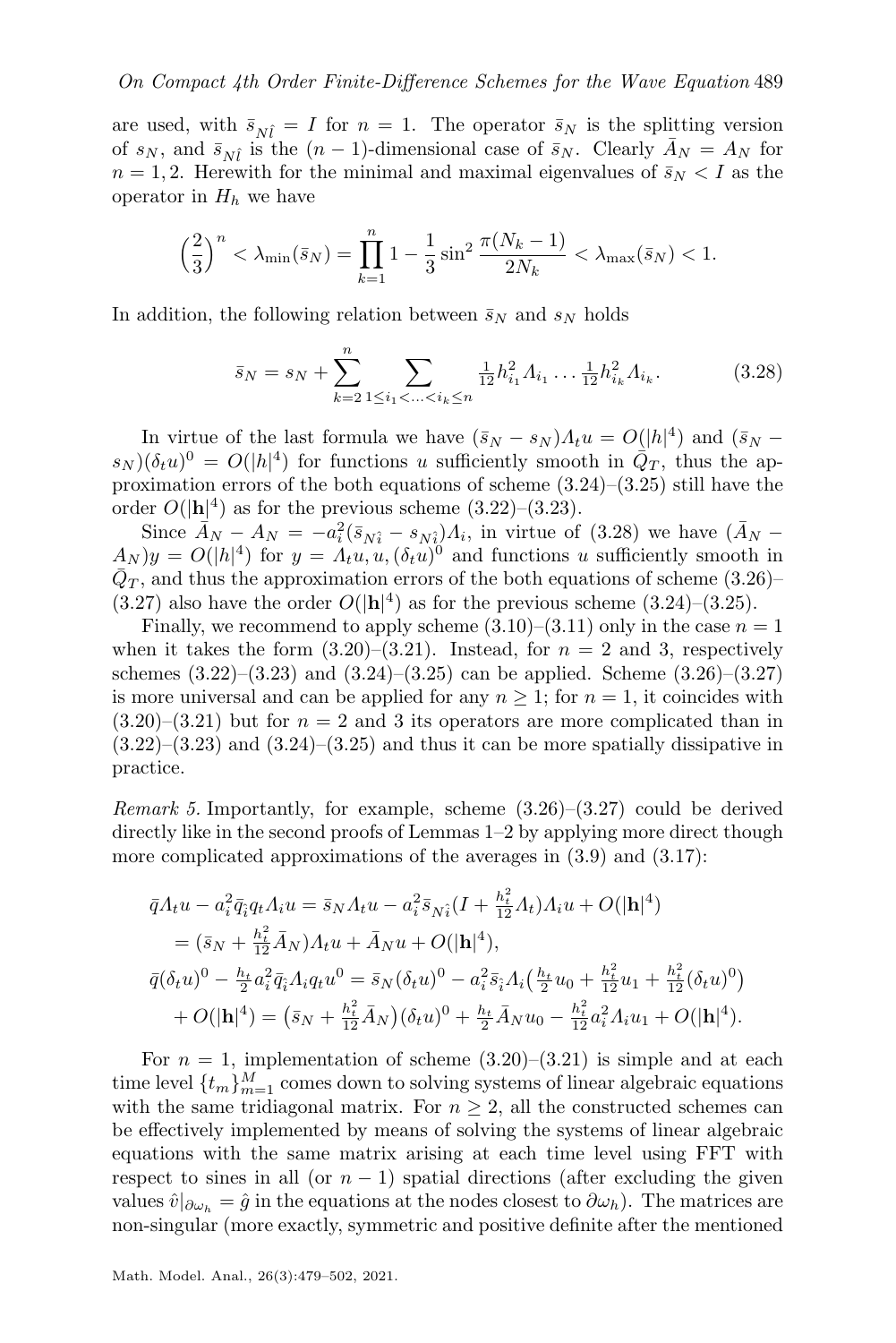are used, with  $\bar{s}_{N\hat{i}} = I$  for  $n = 1$ . The operator  $\bar{s}_{N}$  is the splitting version of  $s_N$ , and  $\bar{s}_{N\hat{l}}$  is the  $(n-1)$ -dimensional case of  $\bar{s}_N$ . Clearly  $\bar{A}_N = A_N$  for  $n = 1, 2$ . Herewith for the minimal and maximal eigenvalues of  $\bar{s}_N < I$  as the operator in  $H_h$  we have

$$
\left(\frac{2}{3}\right)^n < \lambda_{\min}(\bar{s}_N) = \prod_{k=1}^n 1 - \frac{1}{3} \sin^2 \frac{\pi (N_k - 1)}{2N_k} < \lambda_{\max}(\bar{s}_N) < 1.
$$

In addition, the following relation between  $\bar{s}_N$  and  $s_N$  holds

<span id="page-10-0"></span>
$$
\bar{s}_N = s_N + \sum_{k=2}^n \sum_{1 \le i_1 < \ldots < i_k \le n} \frac{1}{12} h_{i_1}^2 \Lambda_{i_1} \ldots \frac{1}{12} h_{i_k}^2 \Lambda_{i_k}.\tag{3.28}
$$

In virtue of the last formula we have  $(\bar{s}_N - s_N) \Lambda_t u = O(|h|^4)$  and  $(\bar{s}_N - s_N)$  $(s_N)(\delta_t u)^0 = O(|h|^4)$  for functions u sufficiently smooth in  $\overline{Q}_T$ , thus the approximation errors of the both equations of scheme [\(3.24\)](#page-9-2)–[\(3.25\)](#page-9-3) still have the order  $O(|\mathbf{h}|^4)$  as for the previous scheme  $(3.22)$ – $(3.23)$ .

Since  $\vec{A}_N - A_N = -a_i^2 (\bar{s}_{N_i} - s_{N_i}) A_i$ , in virtue of [\(3.28\)](#page-10-0) we have  $(\bar{A}_N (A_N)y = O(|h|^4)$  for  $y = A_t u, u, (\delta_t u)^0$  and functions u sufficiently smooth in  $\bar{Q}_T$ , and thus the approximation errors of the both equations of scheme [\(3.26\)](#page-9-6)–  $(3.27)$  also have the order  $O(|\mathbf{h}|^4)$  as for the previous scheme  $(3.24)$ – $(3.25)$ .

Finally, we recommend to apply scheme  $(3.10)$ – $(3.11)$  only in the case  $n = 1$ when it takes the form  $(3.20)$ – $(3.21)$ . Instead, for  $n = 2$  and 3, respectively schemes  $(3.22)$ – $(3.23)$  and  $(3.24)$ – $(3.25)$  can be applied. Scheme  $(3.26)$ – $(3.27)$ is more universal and can be applied for any  $n \geq 1$ ; for  $n = 1$ , it coincides with  $(3.20)$ – $(3.21)$  but for  $n = 2$  and 3 its operators are more complicated than in  $(3.22)$ – $(3.23)$  and  $(3.24)$ – $(3.25)$  and thus it can be more spatially dissipative in practice.

<span id="page-10-1"></span>*Remark 5.* Importantly, for example, scheme  $(3.26)$ – $(3.27)$  could be derived directly like in the second proofs of Lemmas [1](#page-5-3)[–2](#page-7-5) by applying more direct though more complicated approximations of the averages in  $(3.9)$  and  $(3.17)$ :

$$
\begin{split}\n\bar{q}A_t u - a_t^2 \bar{q}_i q_t A_i u &= \bar{s}_N A_t u - a_t^2 \bar{s}_{N\hat{i}} (I + \frac{h_t^2}{12} A_t) A_i u + O(|\mathbf{h}|^4) \\
&= (\bar{s}_N + \frac{h_t^2}{12} \bar{A}_N) A_t u + \bar{A}_N u + O(|\mathbf{h}|^4), \\
\bar{q}(\delta_t u)^0 - \frac{h_t}{2} a_i^2 \bar{q}_i A_i q_t u^0 &= \bar{s}_N (\delta_t u)^0 - a_i^2 \bar{s}_i A_i \left(\frac{h_t}{2} u_0 + \frac{h_t^2}{12} u_1 + \frac{h_t^2}{12} (\delta_t u)^0\right) \\
&+ O(|\mathbf{h}|^4) = (\bar{s}_N + \frac{h_t^2}{12} \bar{A}_N) (\delta_t u)^0 + \frac{h_t}{2} \bar{A}_N u_0 - \frac{h_t^2}{12} a_i^2 A_i u_1 + O(|\mathbf{h}|^4).\n\end{split}
$$

For  $n = 1$ , implementation of scheme  $(3.20)$ – $(3.21)$  is simple and at each time level  $\{t_m\}_{m=1}^M$  comes down to solving systems of linear algebraic equations with the same tridiagonal matrix. For  $n \geq 2$ , all the constructed schemes can be effectively implemented by means of solving the systems of linear algebraic equations with the same matrix arising at each time level using FFT with respect to sines in all (or  $n - 1$ ) spatial directions (after excluding the given values  $\hat{v}|_{\partial \omega_h} = \hat{g}$  in the equations at the nodes closest to  $\partial \omega_h$ ). The matrices are non-singular (more exactly, symmetric and positive definite after the mentioned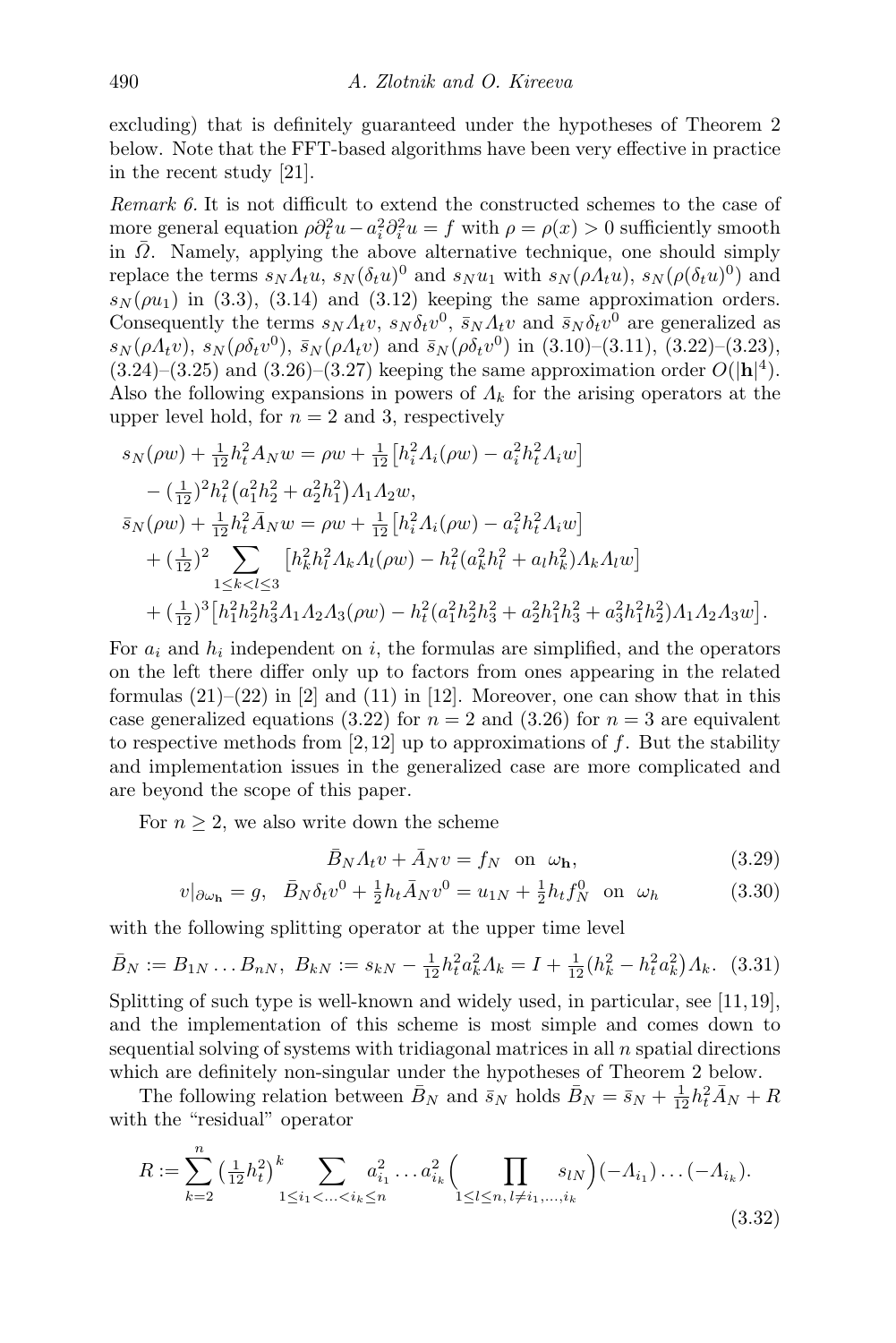excluding) that is definitely guaranteed under the hypotheses of Theorem [2](#page-13-0) below. Note that the FFT-based algorithms have been very effective in practice in the recent study [\[21\]](#page-23-8).

Remark 6. It is not difficult to extend the constructed schemes to the case of more general equation  $\rho \partial_t^2 u - a_i^2 \partial_i^2 u = f$  with  $\rho = \rho(x) > 0$  sufficiently smooth in  $\overline{\Omega}$ . Namely, applying the above alternative technique, one should simply replace the terms  $s_N \Lambda_t u$ ,  $s_N (\delta_t u)^0$  and  $s_N u_1$  with  $s_N(\rho \Lambda_t u)$ ,  $s_N(\rho (\delta_t u)^0)$  and  $s_N(\rho u_1)$  in [\(3.3\)](#page-5-1), [\(3.14\)](#page-7-4) and [\(3.12\)](#page-7-2) keeping the same approximation orders. Consequently the terms  $s_N \Lambda_t v$ ,  $s_N \delta_t v^0$ ,  $\bar{s}_N \Lambda_t v$  and  $\bar{s}_N \delta_t v^0$  are generalized as  $s_N(\rho A_t v)$ ,  $s_N(\rho \delta_t v^0)$ ,  $\bar{s}_N(\rho A_t v)$  and  $\bar{s}_N(\rho \delta_t v^0)$  in [\(3.10\)](#page-6-0)–[\(3.11\)](#page-7-0), [\(3.22\)](#page-9-4)–[\(3.23\)](#page-9-5),  $(3.24)$ – $(3.25)$  and  $(3.26)$ – $(3.27)$  keeping the same approximation order  $O(|\mathbf{h}|^4)$ . Also the following expansions in powers of  $\Lambda_k$  for the arising operators at the upper level hold, for  $n = 2$  and 3, respectively

$$
s_N(\rho w) + \frac{1}{12} h_t^2 A_N w = \rho w + \frac{1}{12} \left[ h_i^2 A_i(\rho w) - a_i^2 h_t^2 A_i w \right]
$$
  
\n
$$
- \left( \frac{1}{12} \right)^2 h_t^2 \left( a_1^2 h_2^2 + a_2^2 h_1^2 \right) A_1 A_2 w,
$$
  
\n
$$
\bar{s}_N(\rho w) + \frac{1}{12} h_t^2 \bar{A}_N w = \rho w + \frac{1}{12} \left[ h_i^2 A_i(\rho w) - a_i^2 h_t^2 A_i w \right]
$$
  
\n
$$
+ \left( \frac{1}{12} \right)^2 \sum_{1 \le k < l \le 3} \left[ h_k^2 h_l^2 A_k A_l(\rho w) - h_t^2 (a_k^2 h_l^2 + a_l h_k^2) A_k A_l w \right]
$$
  
\n
$$
+ \left( \frac{1}{12} \right)^3 \left[ h_1^2 h_2^2 h_3^2 A_1 A_2 A_3(\rho w) - h_t^2 (a_1^2 h_2^2 h_3^2 + a_2^2 h_1^2 h_3^2 + a_3^2 h_1^2 h_2^2) A_1 A_2 A_3 w \right].
$$

For  $a_i$  and  $h_i$  independent on i, the formulas are simplified, and the operators on the left there differ only up to factors from ones appearing in the related formulas  $(21)$ – $(22)$  in [\[2\]](#page-22-0) and  $(11)$  in [\[12\]](#page-23-0). Moreover, one can show that in this case generalized equations [\(3.22\)](#page-9-4) for  $n = 2$  and [\(3.26\)](#page-9-6) for  $n = 3$  are equivalent to respective methods from [\[2,](#page-22-0)[12\]](#page-23-0) up to approximations of  $f$ . But the stability and implementation issues in the generalized case are more complicated and are beyond the scope of this paper.

For  $n \geq 2$ , we also write down the scheme

<span id="page-11-3"></span><span id="page-11-2"></span><span id="page-11-1"></span><span id="page-11-0"></span>
$$
\bar{B}_N A_t v + \bar{A}_N v = f_N \quad \text{on} \quad \omega_{\mathbf{h}},\tag{3.29}
$$

$$
v|_{\partial \omega_{\mathbf{h}}} = g, \quad \bar{B}_N \delta_t v^0 + \frac{1}{2} h_t \bar{A}_N v^0 = u_{1N} + \frac{1}{2} h_t f_N^0 \quad \text{on} \quad \omega_h \tag{3.30}
$$

with the following splitting operator at the upper time level

$$
\bar{B}_N := B_{1N} \dots B_{nN}, \ B_{kN} := s_{kN} - \frac{1}{12} h_t^2 a_k^2 A_k = I + \frac{1}{12} (h_k^2 - h_t^2 a_k^2) A_k. \tag{3.31}
$$

Splitting of such type is well-known and widely used, in particular, see [\[11,](#page-23-1)[19\]](#page-23-6), and the implementation of this scheme is most simple and comes down to sequential solving of systems with tridiagonal matrices in all  $n$  spatial directions which are definitely non-singular under the hypotheses of Theorem [2](#page-13-0) below.

The following relation between  $\bar{B}_N$  and  $\bar{s}_N$  holds  $\bar{B}_N = \bar{s}_N + \frac{1}{12}h_t^2\bar{A}_N + R$ with the "residual" operator

$$
R := \sum_{k=2}^{n} \left(\frac{1}{12}h_t^2\right)^k \sum_{1 \le i_1 < \ldots < i_k \le n} a_{i_1}^2 \ldots a_{i_k}^2 \left(\prod_{1 \le l \le n, l \ne i_1, \ldots, i_k} s_{lN}\right) (-\Lambda_{i_1}) \ldots (-\Lambda_{i_k}).
$$
\n(3.32)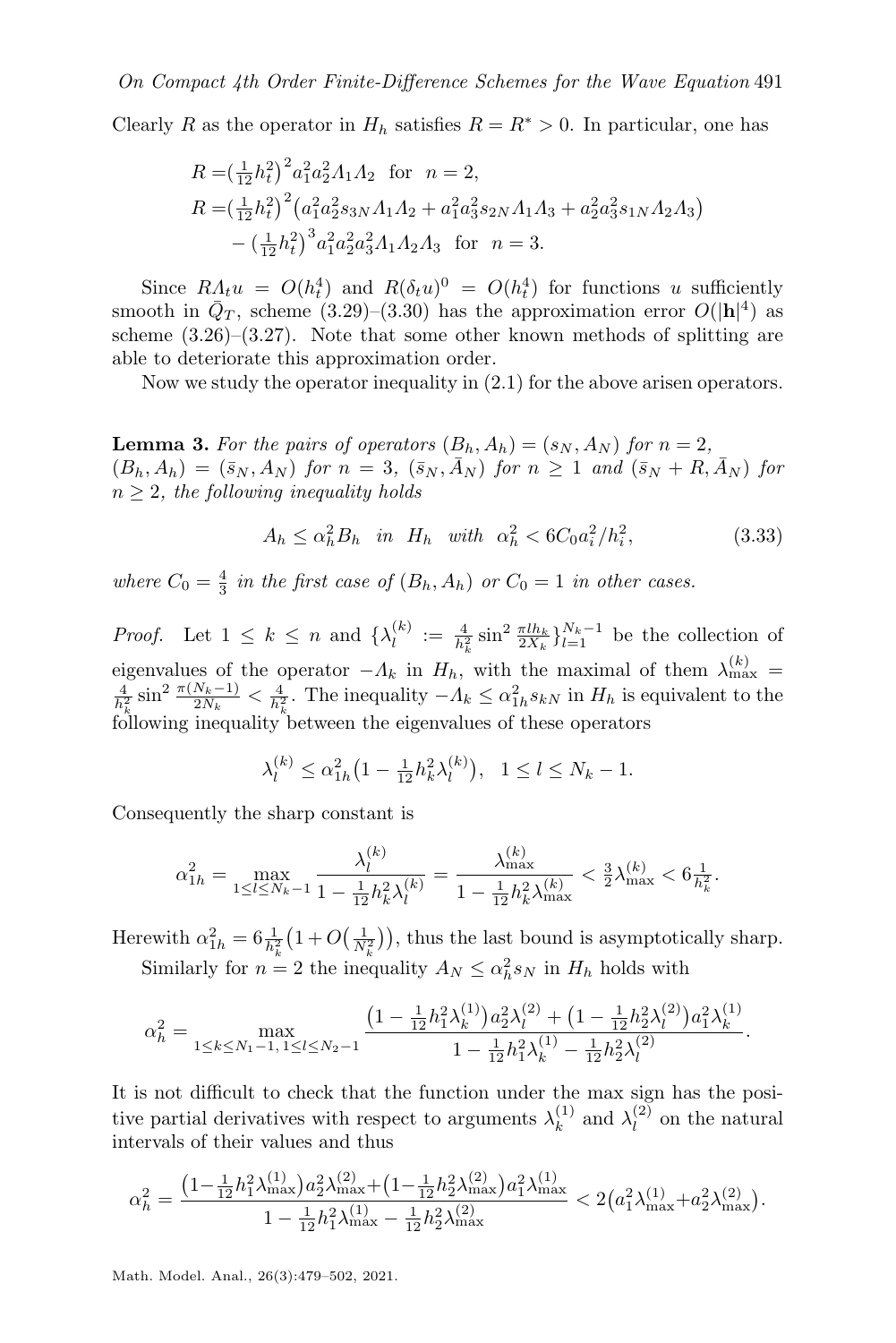Clearly R as the operator in  $H_h$  satisfies  $R = R^* > 0$ . In particular, one has

$$
R = \left(\frac{1}{12}h_t^2\right)^2 a_1^2 a_2^2 \Lambda_1 \Lambda_2 \quad \text{for} \quad n = 2,
$$
  
\n
$$
R = \left(\frac{1}{12}h_t^2\right)^2 \left(a_1^2 a_2^2 s_{3N} \Lambda_1 \Lambda_2 + a_1^2 a_3^2 s_{2N} \Lambda_1 \Lambda_3 + a_2^2 a_3^2 s_{1N} \Lambda_2 \Lambda_3\right)
$$
  
\n
$$
- \left(\frac{1}{12}h_t^2\right)^3 a_1^2 a_2^2 a_3^2 \Lambda_1 \Lambda_2 \Lambda_3 \quad \text{for} \quad n = 3.
$$

Since  $R_{\mathcal{A}_t} u = O(h_t^4)$  and  $R(\delta_t u)^0 = O(h_t^4)$  for functions u sufficiently smooth in  $\bar{Q}_T$ , scheme [\(3.29\)](#page-11-0)–[\(3.30\)](#page-11-1) has the approximation error  $O(|\mathbf{h}|^4)$  as scheme  $(3.26)$ – $(3.27)$ . Note that some other known methods of splitting are able to deteriorate this approximation order.

<span id="page-12-1"></span>Now we study the operator inequality in [\(2.1\)](#page-2-3) for the above arisen operators.

**Lemma 3.** For the pairs of operators  $(B_h, A_h) = (s_N, A_N)$  for  $n = 2$ ,  $(B_h, A_h) = (\bar{s}_N, A_N)$  for  $n = 3$ ,  $(\bar{s}_N, \bar{A}_N)$  for  $n \ge 1$  and  $(\bar{s}_N + R, \bar{A}_N)$  for  $n \geq 2$ , the following inequality holds

<span id="page-12-0"></span>
$$
A_h \le \alpha_h^2 B_h \text{ in } H_h \text{ with } \alpha_h^2 < 6C_0 a_i^2 / h_i^2,\tag{3.33}
$$

where  $C_0 = \frac{4}{3}$  in the first case of  $(B_h, A_h)$  or  $C_0 = 1$  in other cases.

*Proof.* Let  $1 \leq k \leq n$  and  $\{\lambda_l^{(k)}\}$  $\binom{k}{l} := \frac{4}{h_k^2} \sin^2 \frac{\pi h_k}{2X_k} \}_{l=1}^{N_k-1}$  be the collection of eigenvalues of the operator  $-\Lambda_k$  in  $H_h$ , with the maximal of them  $\lambda_{\max}^{(k)}$  =  $\frac{4}{h_k^2} \sin^2 \frac{\pi(N_k-1)}{2N_k} < \frac{4}{h_k^2}$ . The inequality  $-\Lambda_k \leq \alpha_{1h}^2 s_{kN}$  in  $H_h$  is equivalent to the following inequality between the eigenvalues of these operators

$$
\lambda_l^{(k)} \le \alpha_{1h}^2 \left(1 - \frac{1}{12} h_k^2 \lambda_l^{(k)}\right), \ \ 1 \le l \le N_k - 1.
$$

Consequently the sharp constant is

$$
\alpha_{1h}^2 = \max_{1 \le l \le N_k - 1} \frac{\lambda_l^{(k)}}{1 - \frac{1}{12} h_k^2 \lambda_l^{(k)}} = \frac{\lambda_{\max}^{(k)}}{1 - \frac{1}{12} h_k^2 \lambda_{\max}^{(k)}} < \frac{3}{2} \lambda_{\max}^{(k)} < 6 \frac{1}{h_k^2}.
$$

Herewith  $\alpha_{1h}^2 = 6 \frac{1}{h_k^2} \left( 1 + O\left(\frac{1}{N_k^2}\right) \right)$ , thus the last bound is asymptotically sharp. Similarly for  $n = 2$  the inequality  $A_N \leq \alpha_h^2 s_N$  in  $H_h$  holds with

$$
\alpha_h^2 = \max_{1 \le k \le N_1 - 1, 1 \le l \le N_2 - 1} \frac{\left(1 - \frac{1}{12} h_1^2 \lambda_k^{(1)}\right) a_2^2 \lambda_l^{(2)} + \left(1 - \frac{1}{12} h_2^2 \lambda_l^{(2)}\right) a_1^2 \lambda_k^{(1)}}{1 - \frac{1}{12} h_1^2 \lambda_k^{(1)} - \frac{1}{12} h_2^2 \lambda_l^{(2)}}.
$$

It is not difficult to check that the function under the max sign has the positive partial derivatives with respect to arguments  $\lambda_k^{(1)}$  $\lambda_l^{(1)}$  and  $\lambda_l^{(2)}$  $\ell^{(2)}$  on the natural intervals of their values and thus

$$
\alpha_h^2 = \frac{\left(1 - \frac{1}{12}h_1^2 \lambda_{\max}^{(1)}\right) a_2^2 \lambda_{\max}^{(2)} + \left(1 - \frac{1}{12}h_2^2 \lambda_{\max}^{(2)}\right) a_1^2 \lambda_{\max}^{(1)}}{1 - \frac{1}{12}h_1^2 \lambda_{\max}^{(1)} - \frac{1}{12}h_2^2 \lambda_{\max}^{(2)}} < 2\left(a_1^2 \lambda_{\max}^{(1)} + a_2^2 \lambda_{\max}^{(2)}\right).
$$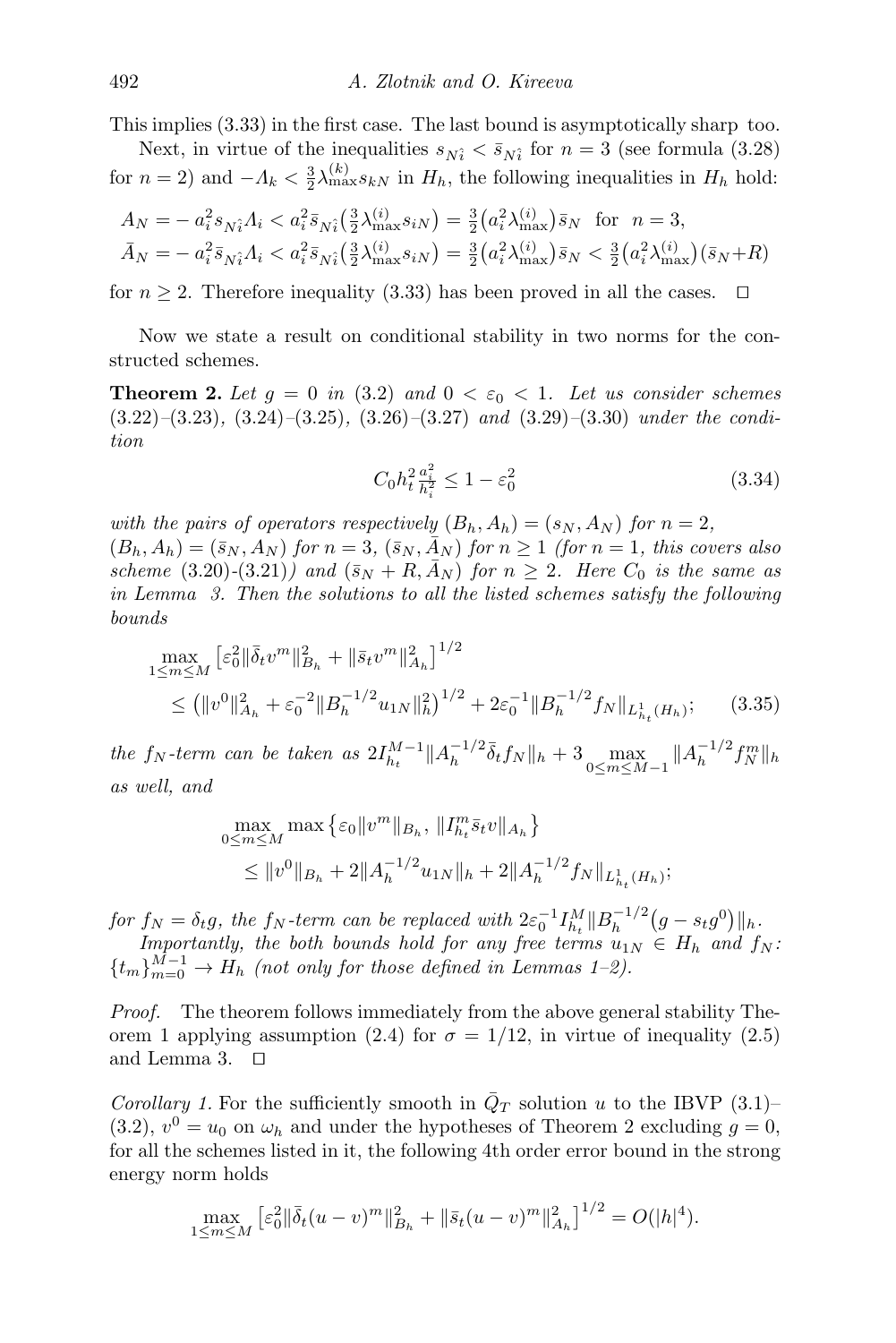This implies [\(3.33\)](#page-12-0) in the first case. The last bound is asymptotically sharp too.

Next, in virtue of the inequalities  $s_{N_i} < \bar{s}_{N_i}$  for  $n = 3$  (see formula [\(3.28\)](#page-10-0) for  $n = 2$ ) and  $-\Lambda_k < \frac{3}{2} \lambda_{\max}^{(k)} s_{k}$  in  $H_h$ , the following inequalities in  $H_h$  hold:

$$
A_N = -a_i^2 s_{\hat{N}_i} A_i < a_i^2 \bar{s}_{\hat{N}_i} \left(\frac{3}{2} \lambda_{\max}^{(i)} s_{iN}\right) = \frac{3}{2} \left(a_i^2 \lambda_{\max}^{(i)} \right) \bar{s}_N \text{ for } n = 3,
$$
  

$$
\bar{A}_N = -a_i^2 \bar{s}_{\hat{N}_i} A_i < a_i^2 \bar{s}_{\hat{N}_i} \left(\frac{3}{2} \lambda_{\max}^{(i)} s_{iN}\right) = \frac{3}{2} \left(a_i^2 \lambda_{\max}^{(i)}\right) \bar{s}_N < \frac{3}{2} \left(a_i^2 \lambda_{\max}^{(i)}\right) \left(\bar{s}_N + R\right)
$$

for  $n \geq 2$ . Therefore inequality [\(3.33\)](#page-12-0) has been proved in all the cases.  $\Box$ 

Now we state a result on conditional stability in two norms for the constructed schemes.

**Theorem 2.** Let  $g = 0$  in [\(3.2\)](#page-4-2) and  $0 < \varepsilon_0 < 1$ . Let us consider schemes  $(3.22)$ – $(3.23)$ ,  $(3.24)$ – $(3.25)$ ,  $(3.26)$ – $(3.27)$  and  $(3.29)$ – $(3.30)$  under the condition

<span id="page-13-2"></span><span id="page-13-1"></span><span id="page-13-0"></span>
$$
C_0 h_t^2 \frac{a_i^2}{h_i^2} \le 1 - \varepsilon_0^2 \tag{3.34}
$$

with the pairs of operators respectively  $(B_h, A_h) = (s_N, A_N)$  for  $n = 2$ ,  $(B_h, A_h) = (\bar{s}_N, A_N)$  for  $n = 3$ ,  $(\bar{s}_N, \bar{A}_N)$  for  $n \ge 1$  (for  $n = 1$ , this covers also scheme [\(3.20\)](#page-9-0)-[\(3.21\)](#page-9-1)) and  $(\bar{s}_N + R, \bar{A}_N)$  for  $n \geq 2$ . Here  $C_0$  is the same as in Lemma [3.](#page-12-1) Then the solutions to all the listed schemes satisfy the following bounds

$$
\max_{1 \le m \le M} \left[ \varepsilon_0^2 \| \bar{\delta}_t v^m \|_{B_h}^2 + \| \bar{s}_t v^m \|_{A_h}^2 \right]^{1/2} \n\le (\|v^0\|_{A_h}^2 + \varepsilon_0^{-2} \|B_h^{-1/2} u_{1N}\|_h^2)^{1/2} + 2\varepsilon_0^{-1} \|B_h^{-1/2} f_N\|_{L_{h_t}^1(H_h)}; \tag{3.35}
$$

the  $f_N$ -term can be taken as  $2I_{h_t}^{M-1}||A_h^{-1/2}$  $\frac{-1}{2}\bar{\delta}_t f_N\|_h + 3 \max_{0 \le m \le M-1} \|A_h^{-1/2}\|_h$  $\frac{-1}{2} f_N^m \|_h$ as well, and

$$
\max_{0 \le m \le M} \max \left\{ \epsilon_0 \|v^m\|_{B_h}, \|I_{h_t}^m \bar{s}_t v\|_{A_h} \right\}
$$
  

$$
\le \|v^0\|_{B_h} + 2\|A_h^{-1/2} u_{1N}\|_h + 2\|A_h^{-1/2} f_N\|_{L_{h_t}^1(H_h)};
$$

for  $f_N = \delta_t g$ , the  $f_N$ -term can be replaced with  $2\varepsilon_0^{-1} I_{h_t}^M ||B_h^{-1/2}$  $\int_{h}^{-1/2} (g - s_t g^0) ||_h.$ 

Importantly, the both bounds hold for any free terms  $u_{1N} \in H_h$  and  $f_N$ :  ${t_m}_{m=0}^{M-1}$  ${t_m}_{m=0}^{M-1}$  ${t_m}_{m=0}^{M-1}$   $\rightarrow$   $H_h$  (not only for those defined in Lemmas 1-2).

Proof. The theorem follows immediately from the above general stability The-orem [1](#page-3-4) applying assumption [\(2.4\)](#page-3-3) for  $\sigma = 1/12$ , in virtue of inequality [\(2.5\)](#page-3-1) and Lemma [3.](#page-12-1)  $\Box$ 

Corollary 1. For the sufficiently smooth in  $\overline{Q}_T$  solution u to the IBVP [\(3.1\)](#page-4-1)– [\(3.2\)](#page-4-2),  $v^0 = u_0$  on  $\omega_h$  and under the hypotheses of Theorem [2](#page-13-0) excluding  $g = 0$ , for all the schemes listed in it, the following 4th order error bound in the strong energy norm holds

$$
\max_{1 \le m \le M} \left[ \varepsilon_0^2 || \bar{\delta}_t (u - v)^m ||_{B_h}^2 + || \bar{s}_t (u - v)^m ||_{A_h}^2 \right]^{1/2} = O(|h|^4).
$$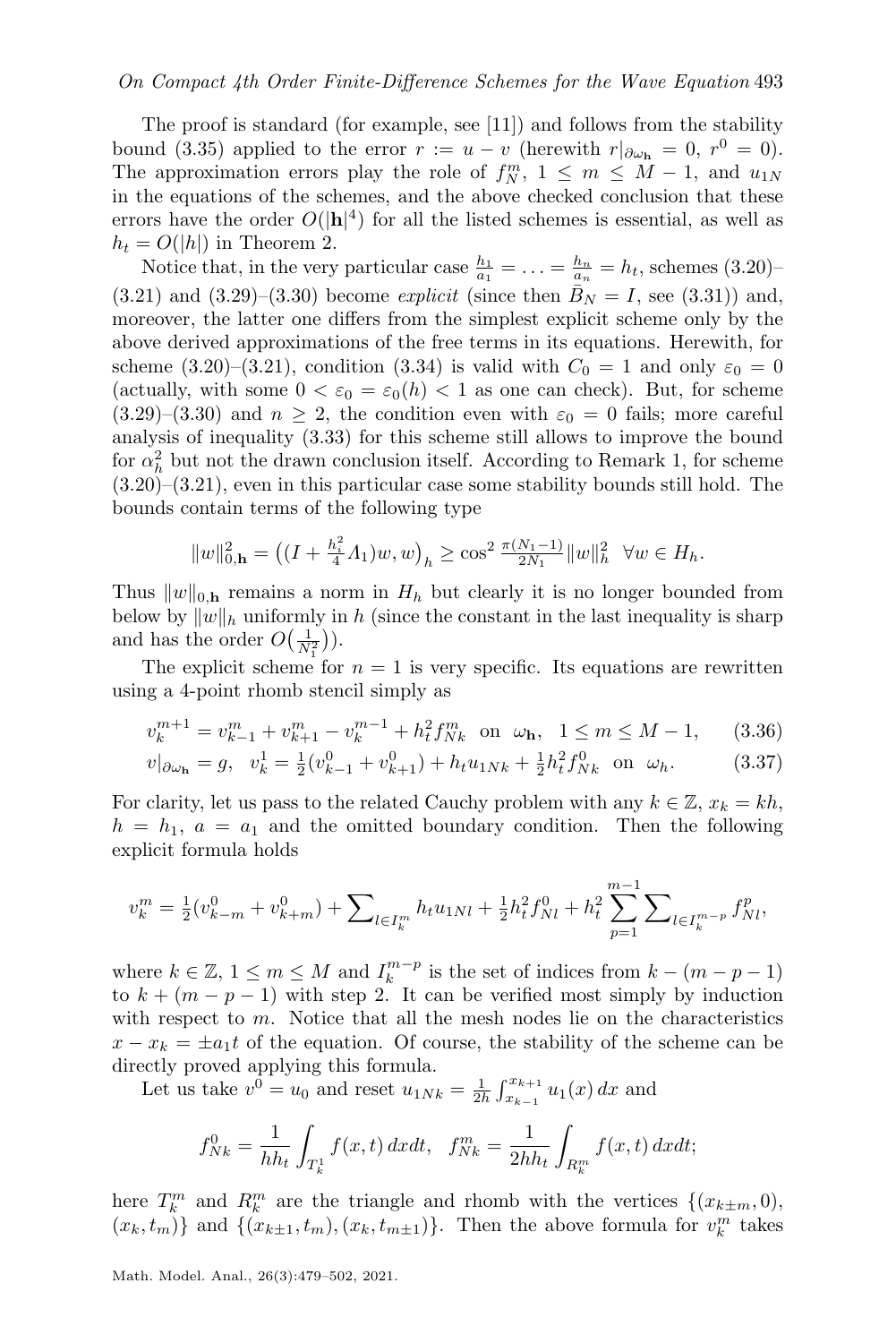#### On Compact 4th Order Finite-Difference Schemes for the Wave Equation 493

The proof is standard (for example, see [\[11\]](#page-23-1)) and follows from the stability bound [\(3.35\)](#page-13-1) applied to the error  $r := u - v$  (herewith  $r|_{\partial \omega_{\bf h}} = 0$ ,  $r^0 = 0$ ). The approximation errors play the role of  $f_N^m$ ,  $1 \leq m \leq M-1$ , and  $u_{1N}$ in the equations of the schemes, and the above checked conclusion that these errors have the order  $O(|\mathbf{h}|^4)$  for all the listed schemes is essential, as well as  $h_t = O(|h|)$  in Theorem [2.](#page-13-0)

Notice that, in the very particular case  $\frac{h_1}{a_1} = \ldots = \frac{h_n}{a_n} = h_t$ , schemes [\(3.20\)](#page-9-0)- $(3.21)$  and  $(3.29)$ – $(3.30)$  become *explicit* (since then  $B<sub>N</sub> = I$ , see [\(3.31\)](#page-11-2)) and, moreover, the latter one differs from the simplest explicit scheme only by the above derived approximations of the free terms in its equations. Herewith, for scheme [\(3.20\)](#page-9-0)–[\(3.21\)](#page-9-1), condition [\(3.34\)](#page-13-2) is valid with  $C_0 = 1$  and only  $\varepsilon_0 = 0$ (actually, with some  $0 < \varepsilon_0 = \varepsilon_0(h) < 1$  as one can check). But, for scheme [\(3.29\)](#page-11-0)–[\(3.30\)](#page-11-1) and  $n \geq 2$ , the condition even with  $\varepsilon_0 = 0$  fails; more careful analysis of inequality [\(3.33\)](#page-12-0) for this scheme still allows to improve the bound for  $\alpha_h^2$  but not the drawn conclusion itself. According to Remark [1,](#page-4-3) for scheme [\(3.20\)](#page-9-0)–[\(3.21\)](#page-9-1), even in this particular case some stability bounds still hold. The bounds contain terms of the following type

<span id="page-14-1"></span><span id="page-14-0"></span>
$$
||w||_{0,\mathbf{h}}^2 = ((I + \frac{h_i^2}{4}A_1)w, w)_h \ge \cos^2 \frac{\pi (N_1 - 1)}{2N_1} ||w||_h^2 \quad \forall w \in H_h.
$$

Thus  $||w||_{0,h}$  remains a norm in  $H_h$  but clearly it is no longer bounded from below by  $||w||_h$  uniformly in h (since the constant in the last inequality is sharp and has the order  $O(\frac{1}{N_1^2})$ .

The explicit scheme for  $n = 1$  is very specific. Its equations are rewritten using a 4-point rhomb stencil simply as

$$
v_k^{m+1} = v_{k-1}^m + v_{k+1}^m - v_k^{m-1} + h_t^2 f_{Nk}^m \quad \text{on } \omega_\mathbf{h}, \quad 1 \le m \le M - 1,\tag{3.36}
$$

$$
v|_{\partial \omega_{\mathbf{h}}} = g, \quad v_k^1 = \frac{1}{2}(v_{k-1}^0 + v_{k+1}^0) + h_t u_{1Nk} + \frac{1}{2} h_t^2 f_{Nk}^0 \quad \text{on} \quad \omega_h. \tag{3.37}
$$

For clarity, let us pass to the related Cauchy problem with any  $k \in \mathbb{Z}$ ,  $x_k = kh$ ,  $h = h_1, a = a_1$  and the omitted boundary condition. Then the following explicit formula holds

$$
v_k^m = \frac{1}{2}(v_{k-m}^0 + v_{k+m}^0) + \sum\nolimits_{l \in I_k^m} h_t u_{1Nl} + \frac{1}{2} h_t^2 f_{Nl}^0 + h_t^2 \sum\nolimits_{p=1}^{m-1} \sum\nolimits_{l \in I_k^{m-p}} f_{Nl}^p,
$$

where  $k \in \mathbb{Z}$ ,  $1 \leq m \leq M$  and  $I_k^{m-p}$  is the set of indices from  $k - (m - p - 1)$ to  $k + (m - p - 1)$  with step 2. It can be verified most simply by induction with respect to  $m$ . Notice that all the mesh nodes lie on the characteristics  $x - x_k = \pm a_1 t$  of the equation. Of course, the stability of the scheme can be directly proved applying this formula.

Let us take  $v^0 = u_0$  and reset  $u_{1Nk} = \frac{1}{2h} \int_{x_{k-1}}^{x_{k+1}} u_1(x) dx$  and

$$
f_{Nk}^{0} = \frac{1}{hh_t} \int_{T_k^1} f(x, t) \, dx dt, \quad f_{Nk}^{m} = \frac{1}{2hh_t} \int_{R_k^m} f(x, t) \, dx dt;
$$

here  $T_k^m$  and  $R_k^m$  are the triangle and rhomb with the vertices  $\{(x_{k\pm m}, 0),\}$  $(x_k, t_m)$  and  $\{(x_{k\pm 1}, t_m), (x_k, t_{m\pm 1})\}$ . Then the above formula for  $v_k^m$  takes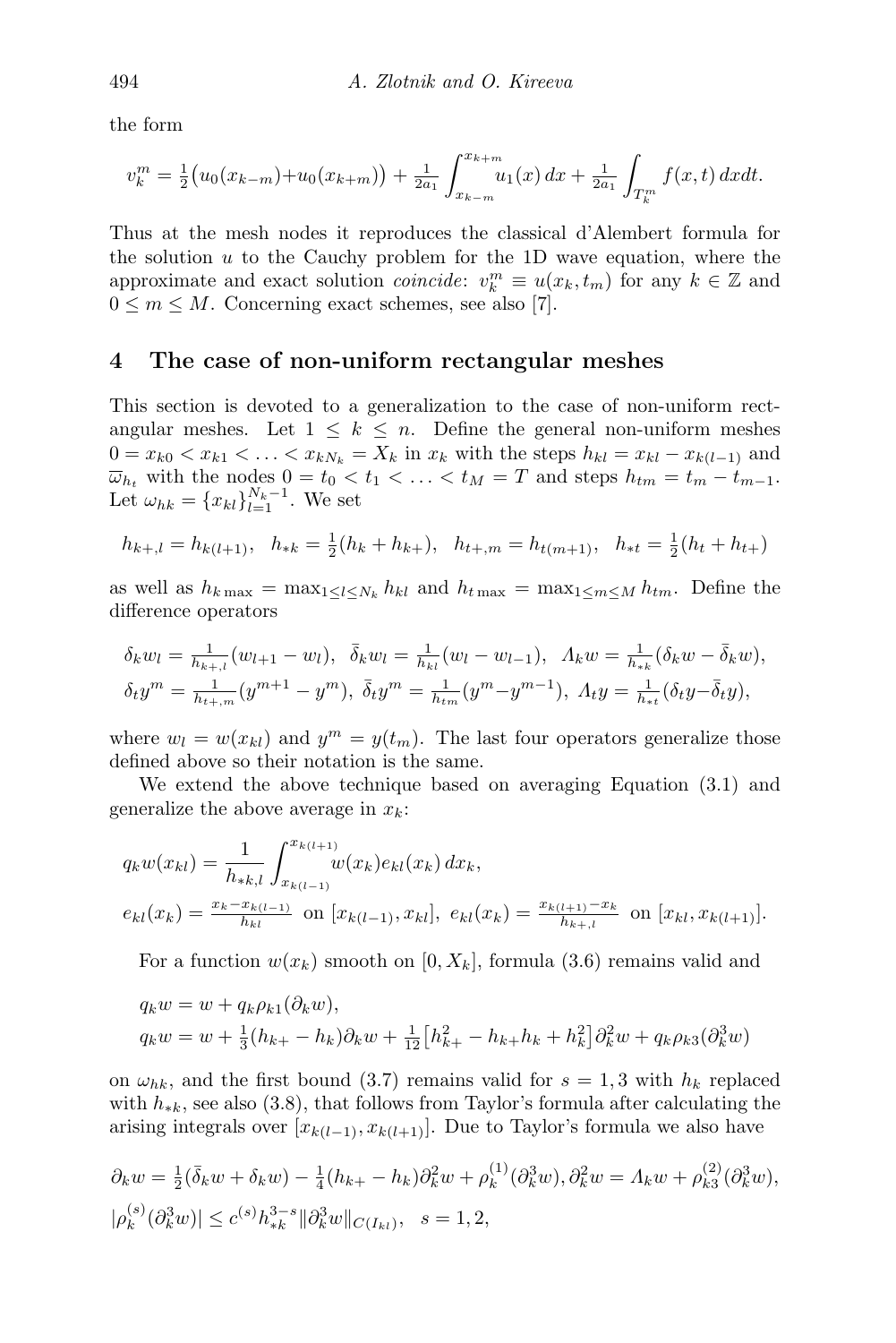the form

$$
v_k^m = \frac{1}{2} (u_0(x_{k-m}) + u_0(x_{k+m})) + \frac{1}{2a_1} \int_{x_{k-m}}^{x_{k+m}} u_1(x) dx + \frac{1}{2a_1} \int_{T_k^m} f(x, t) dx dt.
$$

Thus at the mesh nodes it reproduces the classical d'Alembert formula for the solution  $u$  to the Cauchy problem for the 1D wave equation, where the approximate and exact solution *coincide*:  $v_k^m \equiv u(x_k, t_m)$  for any  $k \in \mathbb{Z}$  and  $0 \leq m \leq M$ . Concerning exact schemes, see also [\[7\]](#page-22-5).

#### <span id="page-15-0"></span>4 The case of non-uniform rectangular meshes

This section is devoted to a generalization to the case of non-uniform rectangular meshes. Let  $1 \leq k \leq n$ . Define the general non-uniform meshes  $0 = x_{k0} < x_{k1} < \ldots < x_{kN_k} = X_k$  in  $x_k$  with the steps  $h_{kl} = x_{kl} - x_{k(l-1)}$  and  $\overline{\omega}_{h_t}$  with the nodes  $0 = t_0 < t_1 < \ldots < t_M = T$  and steps  $h_{tm} = t_m - t_{m-1}$ . Let  $\omega_{hk} = \{x_{kl}\}_{l=1}^{N_k-1}$ . We set

$$
h_{k+1} = h_{k(l+1)}, \quad h_{*k} = \frac{1}{2}(h_k + h_{k+}), \quad h_{t+1} = h_{t(m+1)}, \quad h_{*t} = \frac{1}{2}(h_t + h_{t+})
$$

as well as  $h_{k \max} = \max_{1 \leq l \leq N_k} h_{kl}$  and  $h_{t \max} = \max_{1 \leq m \leq M} h_{tm}$ . Define the difference operators

$$
\delta_k w_l = \frac{1}{h_{k+l}} (w_{l+1} - w_l), \quad \bar{\delta}_k w_l = \frac{1}{h_{kl}} (w_l - w_{l-1}), \quad A_k w = \frac{1}{h_{ik}} (\delta_k w - \bar{\delta}_k w),
$$
  

$$
\delta_t y^m = \frac{1}{h_{k+l,m}} (y^{m+1} - y^m), \quad \bar{\delta}_t y^m = \frac{1}{h_{km}} (y^m - y^{m-1}), \quad A_t y = \frac{1}{h_{kt}} (\delta_t y - \bar{\delta}_t y),
$$

where  $w_l = w(x_{kl})$  and  $y^m = y(t_m)$ . The last four operators generalize those defined above so their notation is the same.

We extend the above technique based on averaging Equation [\(3.1\)](#page-4-1) and generalize the above average in  $x_k$ :

$$
q_k w(x_{kl}) = \frac{1}{h_{*k,l}} \int_{x_{k(l-1)}}^{x_{k(l+1)}} w(x_k) e_{kl}(x_k) dx_k,
$$
  
\n
$$
e_{kl}(x_k) = \frac{x_k - x_{k(l-1)}}{h_{kl}} \text{ on } [x_{k(l-1)}, x_{kl}], \ e_{kl}(x_k) = \frac{x_{k(l+1)} - x_k}{h_{k+l}} \text{ on } [x_{kl}, x_{k(l+1)}].
$$

For a function  $w(x_k)$  smooth on [0,  $X_k$ ], formula [\(3.6\)](#page-6-2) remains valid and

$$
q_k w = w + q_k \rho_{k1}(\partial_k w),
$$
  
\n
$$
q_k w = w + \frac{1}{3}(h_{k+} - h_k)\partial_k w + \frac{1}{12}[h_{k+}^2 - h_{k+}h_k + h_k^2]\partial_k^2 w + q_k \rho_{k3}(\partial_k^3 w)
$$

on  $\omega_{hk}$ , and the first bound [\(3.7\)](#page-6-3) remains valid for  $s = 1, 3$  with  $h_k$  replaced with  $h_{\ast k}$ , see also [\(3.8\)](#page-6-4), that follows from Taylor's formula after calculating the arising integrals over  $[x_{k(l-1)}, x_{k(l+1)}]$ . Due to Taylor's formula we also have

$$
\partial_k w = \frac{1}{2} (\bar{\delta}_k w + \delta_k w) - \frac{1}{4} (h_{k+} - h_k) \partial_k^2 w + \rho_k^{(1)} (\partial_k^3 w), \partial_k^2 w = A_k w + \rho_{k3}^{(2)} (\partial_k^3 w),
$$
  

$$
|\rho_k^{(s)} (\partial_k^3 w)| \le c^{(s)} h_{*k}^{3-s} ||\partial_k^3 w||_{C(I_{kl})}, \quad s = 1, 2,
$$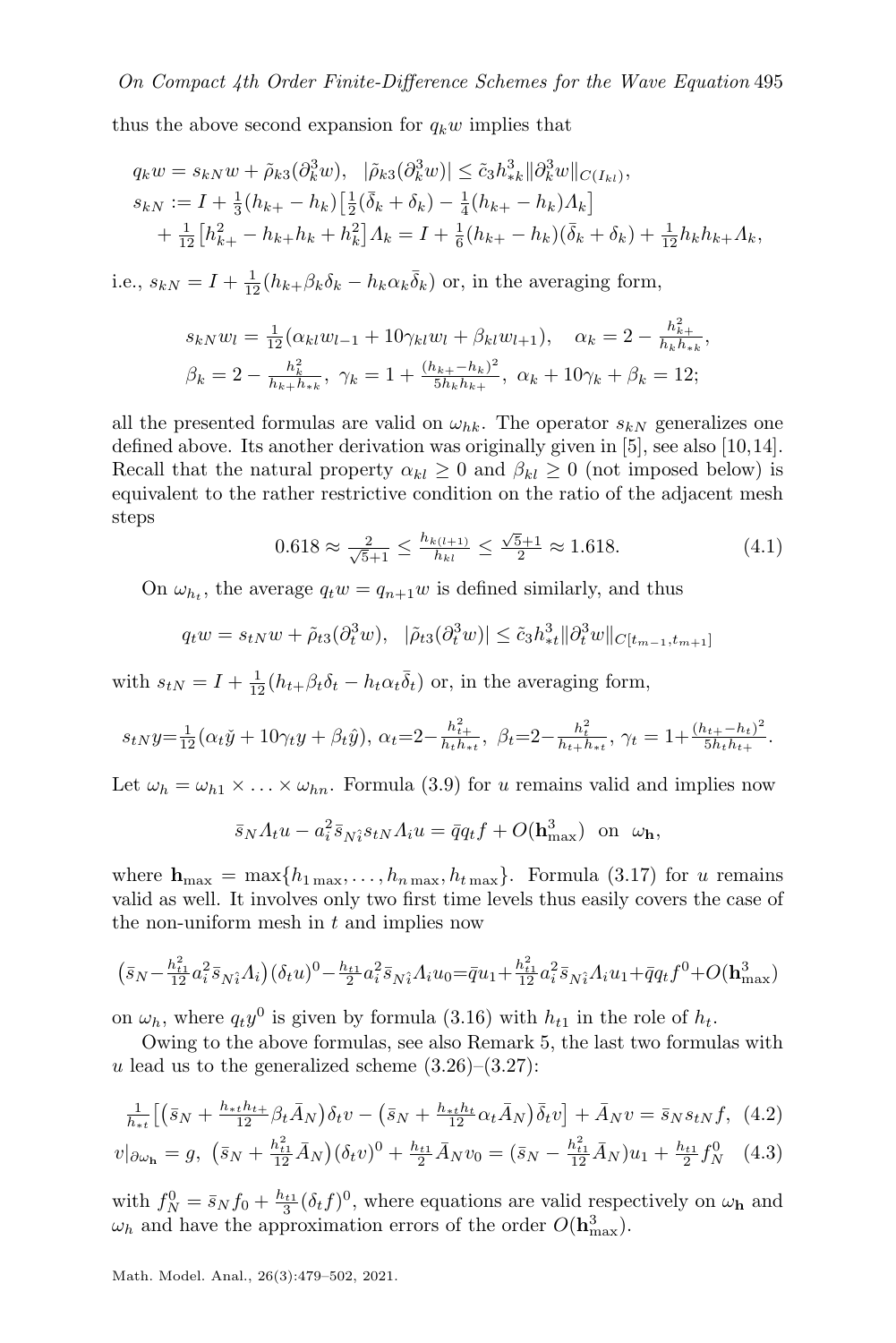thus the above second expansion for  $q_k w$  implies that

$$
q_k w = s_{kN} w + \tilde{\rho}_{k3} (\partial_k^3 w), \quad |\tilde{\rho}_{k3} (\partial_k^3 w)| \le \tilde{c}_3 h_{*k}^3 ||\partial_k^3 w||_{C(I_{kl})},
$$
  
\n
$$
s_{kN} := I + \frac{1}{3} (h_{k+} - h_k) \Big[ \frac{1}{2} (\bar{\delta}_k + \delta_k) - \frac{1}{4} (h_{k+} - h_k) A_k \Big] + \frac{1}{12} [h_{k+}^2 - h_{k+} h_k + h_k^2] A_k = I + \frac{1}{6} (h_{k+} - h_k) (\bar{\delta}_k + \delta_k) + \frac{1}{12} h_k h_{k+} A_k,
$$

i.e.,  $s_{kN} = I + \frac{1}{12} (h_{k+1} \beta_k \delta_k - h_k \alpha_k \bar{\delta}_k)$  or, in the averaging form,

$$
s_{kN}w_l = \frac{1}{12}(\alpha_{kl}w_{l-1} + 10\gamma_{kl}w_l + \beta_{kl}w_{l+1}), \quad \alpha_k = 2 - \frac{h_{k+1}^2}{h_k h_k},
$$
  

$$
\beta_k = 2 - \frac{h_k^2}{h_k + h_k}, \quad \gamma_k = 1 + \frac{(h_{k+1} - h_k)^2}{5h_k h_k}, \quad \alpha_k + 10\gamma_k + \beta_k = 12;
$$

all the presented formulas are valid on  $\omega_{hk}$ . The operator  $s_{kN}$  generalizes one defined above. Its another derivation was originally given in [\[5\]](#page-22-4), see also [\[10,](#page-23-9)[14\]](#page-23-2). Recall that the natural property  $\alpha_{kl} \geq 0$  and  $\beta_{kl} \geq 0$  (not imposed below) is equivalent to the rather restrictive condition on the ratio of the adjacent mesh steps

$$
0.618 \approx \frac{2}{\sqrt{5}+1} \le \frac{h_{k(l+1)}}{h_{kl}} \le \frac{\sqrt{5}+1}{2} \approx 1.618. \tag{4.1}
$$

<span id="page-16-2"></span>On  $\omega_{h_t}$ , the average  $q_t w = q_{n+1} w$  is defined similarly, and thus

$$
q_t w = s_{tN} w + \tilde{\rho}_{t3}(\partial_t^3 w), \quad |\tilde{\rho}_{t3}(\partial_t^3 w)| \leq \tilde{c}_3 h_{*t}^3 ||\partial_t^3 w||_{C[t_{m-1}, t_{m+1}]}
$$

with  $s_{tN} = I + \frac{1}{12} (h_{t+} \beta_t \delta_t - h_t \alpha_t \bar{\delta}_t)$  or, in the averaging form,

$$
s_{tN}y = \frac{1}{12}(\alpha_t \check{y} + 10\gamma_t y + \beta_t \hat{y}), \ \alpha_t = 2 - \frac{h_{t+1}^2}{h_t h_{t+1}}, \ \beta_t = 2 - \frac{h_t^2}{h_{t+1} h_{t+1}}, \ \gamma_t = 1 + \frac{(h_{t+1} - h_t)^2}{5h_t h_{t+1}}.
$$

Let  $\omega_h = \omega_{h1} \times \ldots \times \omega_{hn}$ . Formula [\(3.9\)](#page-6-1) for u remains valid and implies now

<span id="page-16-1"></span><span id="page-16-0"></span>
$$
\bar{s}_N A_t u - a_i^2 \bar{s}_{N\hat{i}} s_{tN} A_i u = \bar{q} q_t f + O(\mathbf{h}_{\text{max}}^3) \text{ on } \omega_\mathbf{h},
$$

where  $h_{\text{max}} = \max\{h_{1\max}, \ldots, h_{n\max}, h_{t\max}\}.$  Formula [\(3.17\)](#page-8-2) for u remains valid as well. It involves only two first time levels thus easily covers the case of the non-uniform mesh in  $t$  and implies now

$$
\left(\bar{s}_{N} - \tfrac{h_{t1}^2}{12}a_i^2\bar{s}_{N\hat{i}}A_i\right)\left(\delta_t u\right)^0 - \tfrac{h_{t1}}{2}a_i^2\bar{s}_{N\hat{i}}A_i u_0\!=\! \bar{q}u_1\!+\!\tfrac{h_{t1}^2}{12}a_i^2\bar{s}_{N\hat{i}}A_i u_1\!+\!\bar{q}q_t f^0\!+\!O(\mathbf{h}_{\max}^3)
$$

on  $\omega_h$ , where  $q_t y^0$  is given by formula [\(3.16\)](#page-8-4) with  $h_{t1}$  in the role of  $h_t$ .

Owing to the above formulas, see also Remark [5,](#page-10-1) the last two formulas with u lead us to the generalized scheme  $(3.26)$ – $(3.27)$ :

$$
\frac{1}{h_{\ast t}}\left[ \left( \bar{s}_N + \frac{h_{\ast t}h_{t+}}{12} \beta_t \bar{A}_N \right) \delta_t v - \left( \bar{s}_N + \frac{h_{\ast t}h_t}{12} \alpha_t \bar{A}_N \right) \bar{\delta}_t v \right] + \bar{A}_N v = \bar{s}_N s_{tN} f, \tag{4.2}
$$

$$
v|_{\partial\omega_{\mathbf{h}}} = g, \ \left(\bar{s}_{N} + \frac{h_{t1}^{2}}{12}\bar{A}_{N}\right)(\delta_{t}v)^{0} + \frac{h_{t1}}{2}\bar{A}_{N}v_{0} = (\bar{s}_{N} - \frac{h_{t1}^{2}}{12}\bar{A}_{N})u_{1} + \frac{h_{t1}}{2}f_{N}^{0} \tag{4.3}
$$

with  $f_N^0 = \bar{s}_N f_0 + \frac{h_{t1}}{3} (\delta_t f)^0$ , where equations are valid respectively on  $\omega_{\bf h}$  and  $\omega_h$  and have the approximation errors of the order  $O(\mathbf{h}_{\text{max}}^3)$ .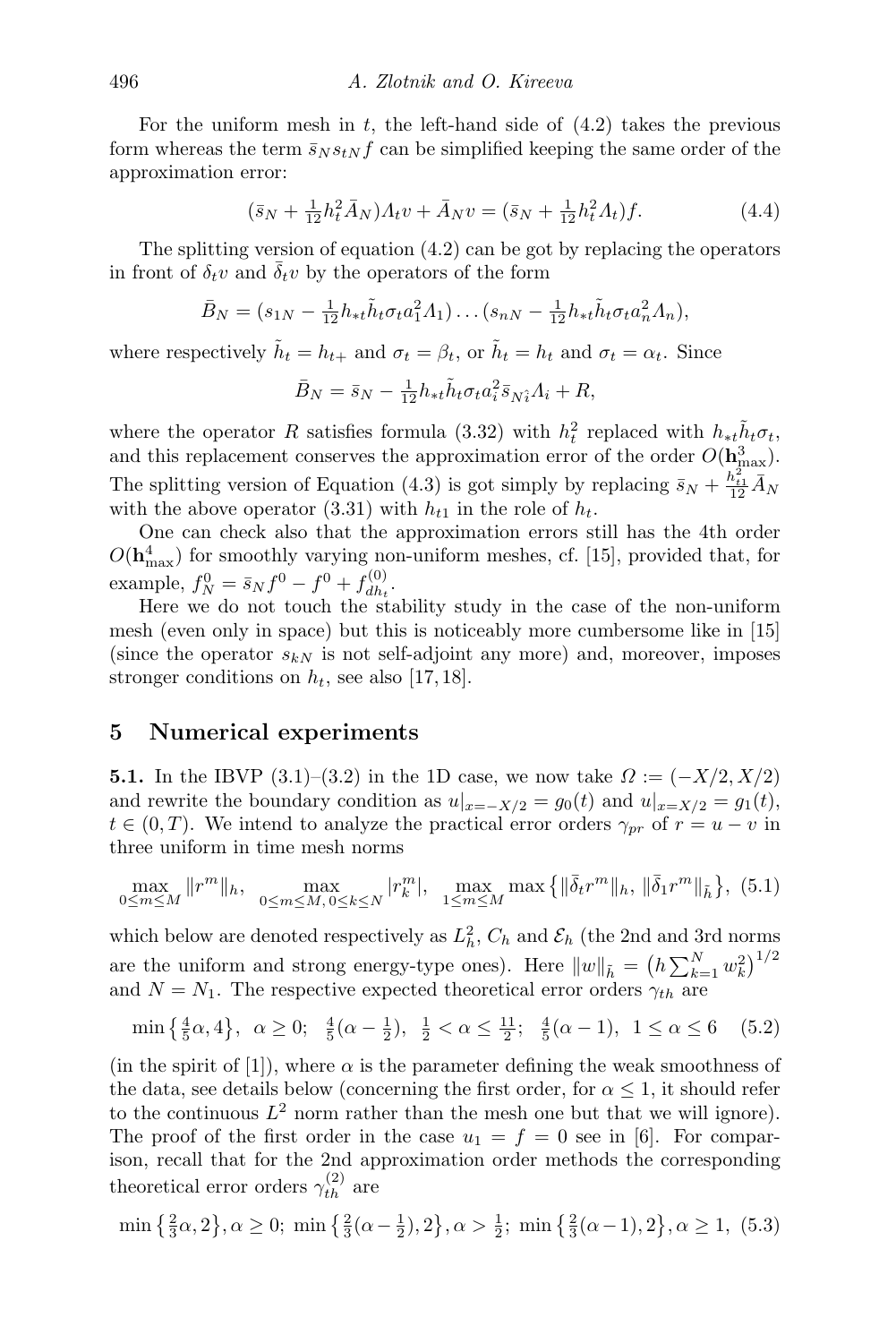For the uniform mesh in  $t$ , the left-hand side of  $(4.2)$  takes the previous form whereas the term  $\bar{s}_N s_{tN} f$  can be simplified keeping the same order of the approximation error:

$$
(\bar{s}_N + \frac{1}{12}h_t^2 \bar{A}_N)A_t v + \bar{A}_N v = (\bar{s}_N + \frac{1}{12}h_t^2 A_t)f.
$$
 (4.4)

The splitting version of equation  $(4.2)$  can be got by replacing the operators in front of  $\delta_t v$  and  $\overline{\delta_t} v$  by the operators of the form

$$
\bar{B}_N = (s_{1N} - \frac{1}{12}h_{*t}\tilde{h}_t\sigma_t a_1^2 A_1) \dots (s_{nN} - \frac{1}{12}h_{*t}\tilde{h}_t\sigma_t a_n^2 A_n),
$$

where respectively  $\tilde{h}_t = h_{t+}$  and  $\sigma_t = \beta_t$ , or  $\tilde{h}_t = h_t$  and  $\sigma_t = \alpha_t$ . Since

<span id="page-17-4"></span>
$$
\bar{B}_N = \bar{s}_N - \frac{1}{12} h_{*t} \tilde{h}_t \sigma_t a_i^2 \bar{s}_{N\hat{i}} A_i + R,
$$

where the operator R satisfies formula [\(3.32\)](#page-11-3) with  $h_t^2$  replaced with  $h_{*t} \tilde{h}_t \sigma_t$ , and this replacement conserves the approximation error of the order  $O(\mathbf{h}_{\text{max}}^3)$ . The splitting version of Equation [\(4.3\)](#page-16-1) is got simply by replacing  $\bar{s}_N + \frac{h_{t1}^2}{12} \bar{A}_N$ with the above operator [\(3.31\)](#page-11-2) with  $h_{t1}$  in the role of  $h_t$ .

One can check also that the approximation errors still has the 4th order  $O(\mathbf{h}_{\text{max}}^4)$  for smoothly varying non-uniform meshes, cf. [\[15\]](#page-23-3), provided that, for example,  $f_N^0 = \bar{s}_N f^0 - f^0 + f_{dh_t}^{(0)}$  $\frac{d}{dh_t}$ .

Here we do not touch the stability study in the case of the non-uniform mesh (even only in space) but this is noticeably more cumbersome like in [\[15\]](#page-23-3) (since the operator  $s_{kN}$  is not self-adjoint any more) and, moreover, imposes stronger conditions on  $h_t$ , see also [\[17,](#page-23-4) [18\]](#page-23-10).

## <span id="page-17-0"></span>5 Numerical experiments

**[5.](#page-17-0)1.** In the IBVP [\(3.1\)](#page-4-1)–[\(3.2\)](#page-4-2) in the 1D case, we now take  $\Omega := (-X/2, X/2)$ and rewrite the boundary condition as  $u|_{x=-X/2} = g_0(t)$  and  $u|_{x=X/2} = g_1(t)$ ,  $t \in (0,T)$ . We intend to analyze the practical error orders  $\gamma_{pr}$  of  $r = u - v$  in three uniform in time mesh norms

<span id="page-17-1"></span>
$$
\max_{0 \le m \le M} \|r^m\|_h, \quad \max_{0 \le m \le M, 0 \le k \le N} |r_k^m|, \quad \max_{1 \le m \le M} \max\left\{ \|\bar{\delta}_t r^m\|_h, \|\bar{\delta}_1 r^m\|_{\tilde{h}} \right\}, \tag{5.1}
$$

which below are denoted respectively as  $L_h^2$ ,  $C_h$  and  $\mathcal{E}_h$  (the 2nd and 3rd norms are the uniform and strong energy-type ones). Here  $||w||_{\tilde{h}} = (h \sum_{k=1}^{N} w_k^2)^{1/2}$ and  $N = N_1$ . The respective expected theoretical error orders  $\gamma_{th}$  are

<span id="page-17-2"></span>
$$
\min\left\{\frac{4}{5}\alpha, 4\right\}, \ \alpha \ge 0; \ \ \frac{4}{5}(\alpha - \frac{1}{2}), \ \ \frac{1}{2} < \alpha \le \frac{11}{2}; \ \ \frac{4}{5}(\alpha - 1), \ \ 1 \le \alpha \le 6 \tag{5.2}
$$

(in the spirit of [\[1\]](#page-22-6)), where  $\alpha$  is the parameter defining the weak smoothness of the data, see details below (concerning the first order, for  $\alpha \leq 1$ , it should refer to the continuous  $L^2$  norm rather than the mesh one but that we will ignore). The proof of the first order in the case  $u_1 = f = 0$  see in [\[6\]](#page-22-7). For comparison, recall that for the 2nd approximation order methods the corresponding theoretical error orders  $\gamma_{th}^{(2)}$  are

<span id="page-17-3"></span>
$$
\min\left\{\frac{2}{3}\alpha, 2\right\}, \alpha \ge 0; \min\left\{\frac{2}{3}(\alpha - \frac{1}{2}), 2\right\}, \alpha > \frac{1}{2}; \min\left\{\frac{2}{3}(\alpha - 1), 2\right\}, \alpha \ge 1, (5.3)
$$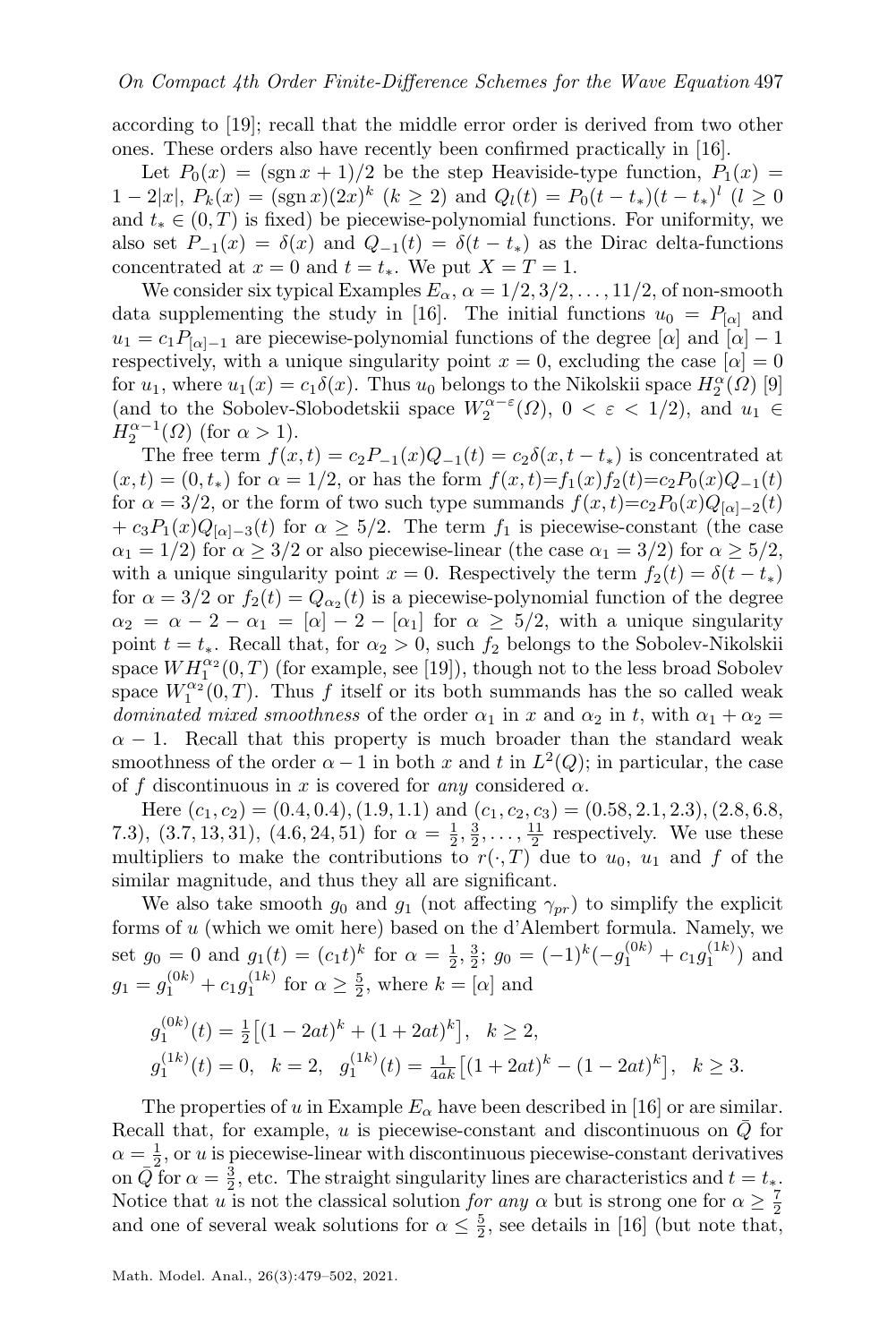according to [\[19\]](#page-23-6); recall that the middle error order is derived from two other ones. These orders also have recently been confirmed practically in [\[16\]](#page-23-5).

Let  $P_0(x) = (\text{sgn } x + 1)/2$  be the step Heaviside-type function,  $P_1(x) =$  $1-2|x|, P_k(x) = (\text{sgn } x)(2x)^k \ (k \geq 2)$  and  $Q_l(t) = P_0(t-t_*)(t-t_*)^l \ (l \geq 0)$ and  $t_* \in (0, T)$  is fixed) be piecewise-polynomial functions. For uniformity, we also set  $P_{-1}(x) = \delta(x)$  and  $Q_{-1}(t) = \delta(t - t_*)$  as the Dirac delta-functions concentrated at  $x = 0$  and  $t = t_*$ . We put  $X = T = 1$ .

We consider six typical Examples  $E_{\alpha}$ ,  $\alpha = 1/2, 3/2, \ldots, 11/2$ , of non-smooth data supplementing the study in [\[16\]](#page-23-5). The initial functions  $u_0 = P_{\alpha}$  and  $u_1 = c_1 P_{\alpha-1}$  are piecewise-polynomial functions of the degree  $[\alpha]$  and  $[\alpha] - 1$ respectively, with a unique singularity point  $x = 0$ , excluding the case  $[\alpha] = 0$ for  $u_1$ , where  $u_1(x) = c_1 \delta(x)$ . Thus  $u_0$  belongs to the Nikolskii space  $H_2^{\alpha}(\Omega)$  [\[9\]](#page-23-11) (and to the Sobolev-Slobodetskii space  $W_2^{\alpha-\varepsilon}(\Omega)$ ,  $0 < \varepsilon < 1/2$ ), and  $u_1 \in$  $H_2^{\alpha-1}(\Omega)$  (for  $\alpha > 1$ ).

The free term  $f(x,t) = c_2P_{-1}(x)Q_{-1}(t) = c_2\delta(x,t-t_*)$  is concentrated at  $(x, t) = (0, t_*)$  for  $\alpha = 1/2$ , or has the form  $f(x, t) = f_1(x) f_2(t) = c_2 P_0(x) Q_{-1}(t)$ for  $\alpha = 3/2$ , or the form of two such type summands  $f(x, t) = c_2 P_0(x) Q_{[\alpha]-2}(t)$  $+ c_3P_1(x)Q_{[\alpha]-3}(t)$  for  $\alpha \geq 5/2$ . The term  $f_1$  is piecewise-constant (the case  $\alpha_1 = 1/2$ ) for  $\alpha \geq 3/2$  or also piecewise-linear (the case  $\alpha_1 = 3/2$ ) for  $\alpha \geq 5/2$ , with a unique singularity point  $x = 0$ . Respectively the term  $f_2(t) = \delta(t - t_*)$ for  $\alpha = 3/2$  or  $f_2(t) = Q_{\alpha_2}(t)$  is a piecewise-polynomial function of the degree  $\alpha_2 = \alpha - 2 - \alpha_1 = [\alpha] - 2 - [\alpha_1]$  for  $\alpha \geq 5/2$ , with a unique singularity point  $t = t_*$ . Recall that, for  $\alpha_2 > 0$ , such  $f_2$  belongs to the Sobolev-Nikolskii space  $WH_1^{\alpha_2}(0,T)$  (for example, see [\[19\]](#page-23-6)), though not to the less broad Sobolev space  $W_1^{\alpha_2}(0,T)$ . Thus f itself or its both summands has the so called weak dominated mixed smoothness of the order  $\alpha_1$  in x and  $\alpha_2$  in t, with  $\alpha_1 + \alpha_2 =$  $\alpha - 1$ . Recall that this property is much broader than the standard weak smoothness of the order  $\alpha - 1$  in both x and t in  $L^2(Q)$ ; in particular, the case of f discontinuous in x is covered for any considered  $\alpha$ .

Here  $(c_1, c_2) = (0.4, 0.4), (1.9, 1.1)$  and  $(c_1, c_2, c_3) = (0.58, 2.1, 2.3), (2.8, 6.8,$ 7.3),  $(3.7, 13, 31)$ ,  $(4.6, 24, 51)$  for  $\alpha = \frac{1}{2}, \frac{3}{2}, \ldots, \frac{11}{2}$  respectively. We use these multipliers to make the contributions to  $r(\cdot, T)$  due to  $u_0$ ,  $u_1$  and f of the similar magnitude, and thus they all are significant.

We also take smooth  $g_0$  and  $g_1$  (not affecting  $\gamma_{pr}$ ) to simplify the explicit forms of u (which we omit here) based on the d'Alembert formula. Namely, we set  $g_0 = 0$  and  $g_1(t) = (c_1t)^k$  for  $\alpha = \frac{1}{2}, \frac{3}{2}$ ;  $g_0 = (-1)^k(-g_1^{(0k)} + c_1g_1^{(1k)})$  and  $g_1 = g_1^{(0k)} + c_1 g_1^{(1k)}$  for  $\alpha \ge \frac{5}{2}$ , where  $k = [\alpha]$  and

$$
g_1^{(0k)}(t) = \frac{1}{2} \left[ (1 - 2at)^k + (1 + 2at)^k \right], \quad k \ge 2,
$$
  

$$
g_1^{(1k)}(t) = 0, \quad k = 2, \quad g_1^{(1k)}(t) = \frac{1}{4ak} \left[ (1 + 2at)^k - (1 - 2at)^k \right], \quad k \ge 3.
$$

The properties of u in Example  $E_{\alpha}$  have been described in [\[16\]](#page-23-5) or are similar. Recall that, for example,  $u$  is piecewise-constant and discontinuous on  $Q$  for  $\alpha = \frac{1}{2}$ , or u is piecewise-linear with discontinuous piecewise-constant derivatives on  $\overline{Q}$  for  $\alpha = \frac{3}{2}$ , etc. The straight singularity lines are characteristics and  $t = t_*$ . Notice that u is not the classical solution for any  $\alpha$  but is strong one for  $\alpha \geq \frac{7}{2}$ and one of several weak solutions for  $\alpha \leq \frac{5}{2}$ , see details in [\[16\]](#page-23-5) (but note that,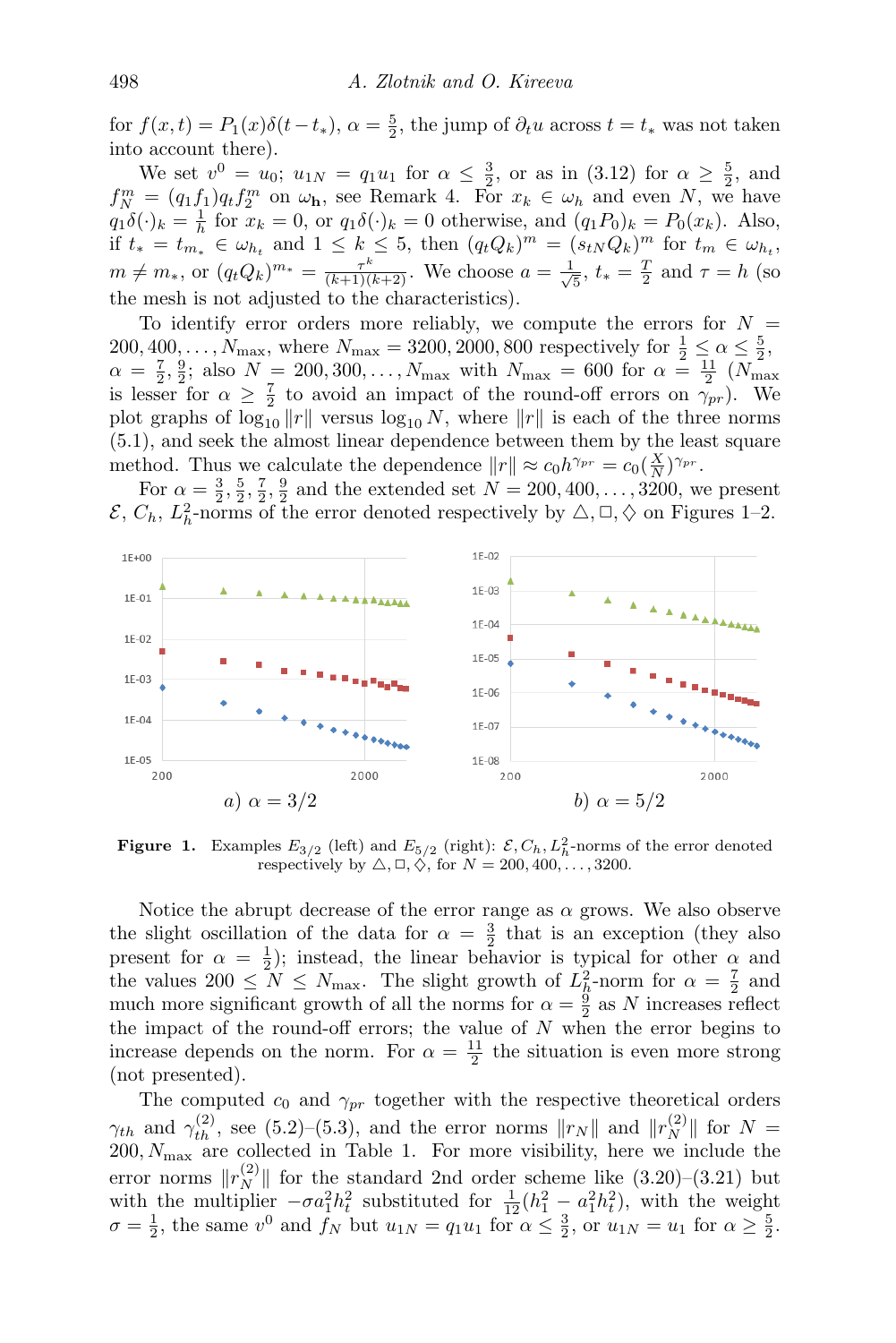for  $f(x,t) = P_1(x)\delta(t-t_*)$ ,  $\alpha = \frac{5}{2}$ , the jump of  $\partial_t u$  across  $t = t_*$  was not taken into account there).

We set  $v^0 = u_0$ ;  $u_{1N} = q_1 u_1$  for  $\alpha \leq \frac{3}{2}$ , or as in  $(3.12)$  for  $\alpha \geq \frac{5}{2}$ , and  $f_N^m = (q_1 f_1) q_t f_2^m$  on  $\omega_h$ , see Remark [4.](#page-8-3) For  $x_k \in \omega_h$  and even N, we have  $q_1\delta(\cdot)_k = \frac{1}{h}$  for  $x_k = 0$ , or  $q_1\delta(\cdot)_k = 0$  otherwise, and  $(q_1P_0)_k = P_0(x_k)$ . Also,  $\lim_{k \to \infty} \sum_{k=0}^{\infty} \frac{1}{k!} \sum_{k=0}^{\infty} \frac{1}{k!} \sum_{k=0}^{\infty} \frac{1}{k!} \sum_{k=0}^{\infty} \frac{1}{k!} \sum_{k=0}^{\infty} \frac{1}{k!} \sum_{k=0}^{\infty} \frac{1}{k!} \sum_{k=0}^{\infty} \frac{1}{k!} \sum_{k=0}^{\infty} \frac{1}{k!} \sum_{k=0}^{\infty} \frac{1}{k!} \sum_{k=0}^{\infty} \frac{1}{k!} \sum_{k=0}^{\in$  $m \neq m_*$ , or  $(q_t Q_k)^{m_*} = \frac{\tau^k}{(k+1)(k+2)}$ . We choose  $a = \frac{1}{\sqrt{k}}$  $\frac{\pi}{5}$ ,  $t_* = \frac{T}{2}$  and  $\tau = h$  (so the mesh is not adjusted to the characteristics).

To identify error orders more reliably, we compute the errors for  $N =$ 200, 400, ...,  $N_{\text{max}}$ , where  $N_{\text{max}} = 3200, 2000, 800$  respectively for  $\frac{1}{2} \leq \alpha \leq \frac{5}{2}$ ,  $\alpha = \frac{7}{2}, \frac{9}{2}$ ; also  $N = 200, 300, ..., N_{\text{max}}$  with  $N_{\text{max}} = 600$  for  $\alpha = \frac{11}{2}$  ( $N_{\text{max}}$ ) is lesser for  $\alpha \geq \frac{7}{2}$  to avoid an impact of the round-off errors on  $\gamma_{pr}$ ). We plot graphs of  $\log_{10} ||r||$  versus  $\log_{10} N$ , where  $||r||$  is each of the three norms [\(5.1\)](#page-17-1), and seek the almost linear dependence between them by the least square method. Thus we calculate the dependence  $||r|| \approx c_0 h^{\gamma_{pr}} = c_0(\frac{X}{N})^{\gamma_{pr}}$ .

For  $\alpha = \frac{3}{2}, \frac{5}{2}, \frac{7}{2}, \frac{9}{2}$  and the extended set  $N = 200, 400, \dots, 3200$ , we present  $\mathcal{E}, C_h, L_h^2$ -norms of the error denoted respectively by  $\triangle, \square, \diamondsuit$  on Figures [1](#page-19-0)[–2.](#page-20-0)

<span id="page-19-0"></span>

**Figure 1.** Examples  $E_{3/2}$  (left) and  $E_{5/2}$  (right):  $\mathcal{E}, C_h, L_h^2$ -norms of the error denoted respectively by  $\triangle$ ,  $\Box$ ,  $\diamondsuit$ , for  $N = 200, 400, \ldots, 3200$ .

Notice the abrupt decrease of the error range as  $\alpha$  grows. We also observe the slight oscillation of the data for  $\alpha = \frac{3}{2}$  that is an exception (they also present for  $\alpha = \frac{1}{2}$ ); instead, the linear behavior is typical for other  $\alpha$  and the values  $200 \leq N \leq N_{\text{max}}$ . The slight growth of  $L_h^2$ -norm for  $\alpha = \frac{7}{2}$  and much more significant growth of all the norms for  $\alpha = \frac{9}{2}$  as N increases reflect the impact of the round-off errors; the value of  $N$  when the error begins to increase depends on the norm. For  $\alpha = \frac{11}{2}$  the situation is even more strong (not presented).

The computed  $c_0$  and  $\gamma_{pr}$  together with the respective theoretical orders  $\gamma_{th}$  and  $\gamma_{th}^{(2)}$ , see [\(5.2\)](#page-17-2)–[\(5.3\)](#page-17-3), and the error norms  $\|r_N\|$  and  $\|r_N^{(2)}\|$  for  $N=$  $200, N_{\text{max}}$  are collected in Table [1.](#page-21-0) For more visibility, here we include the error norms  $||r_N^{(2)}||$  for the standard 2nd order scheme like [\(3.20\)](#page-9-0)–[\(3.21\)](#page-9-1) but with the multiplier  $-\sigma a_1^2 h_t^2$  substituted for  $\frac{1}{12}(h_1^2 - a_1^2 h_t^2)$ , with the weight  $\sigma = \frac{1}{2}$ , the same  $v^0$  and  $f_N$  but  $u_{1N} = q_1 u_1$  for  $\alpha \leq \frac{3}{2}$ , or  $u_{1N} = u_1$  for  $\alpha \geq \frac{5}{2}$ .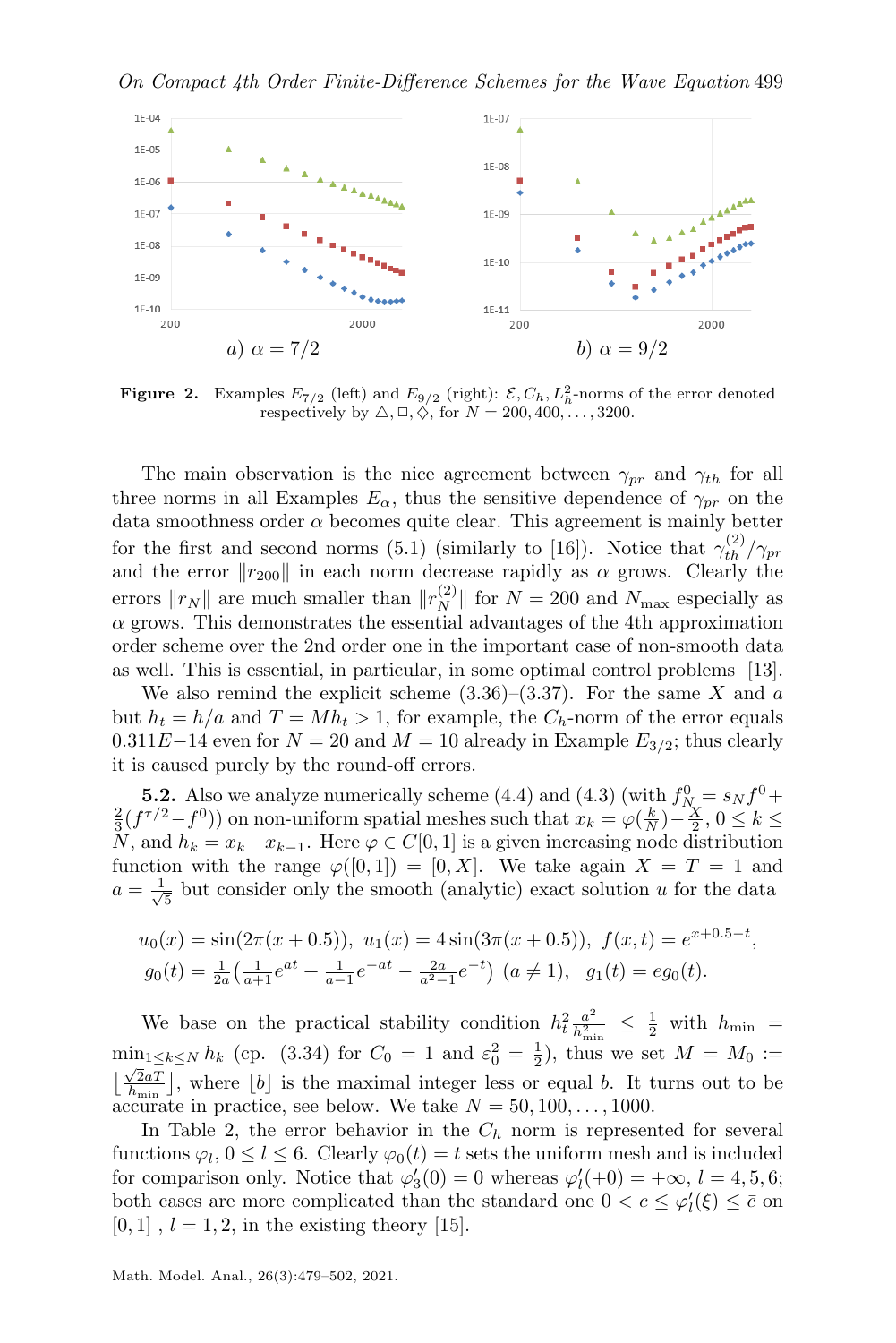<span id="page-20-0"></span>

**Figure 2.** Examples  $E_{7/2}$  (left) and  $E_{9/2}$  (right):  $\mathcal{E}, C_h, L_h^2$ -norms of the error denoted respectively by  $\triangle$ ,  $\Box$ ,  $\Diamond$ , for  $N = 200, 400, \ldots, 3200$ .

The main observation is the nice agreement between  $\gamma_{pr}$  and  $\gamma_{th}$  for all three norms in all Examples  $E_{\alpha}$ , thus the sensitive dependence of  $\gamma_{pr}$  on the data smoothness order  $\alpha$  becomes quite clear. This agreement is mainly better for the first and second norms [\(5.1\)](#page-17-1) (similarly to [\[16\]](#page-23-5)). Notice that  $\gamma_{th}^{(2)}/\gamma_{pr}$ and the error  $||r_{200}||$  in each norm decrease rapidly as  $\alpha$  grows. Clearly the errors  $||r_N||$  are much smaller than  $||r_N^{(2)}||$  for  $N = 200$  and  $N_{\text{max}}$  especially as  $\alpha$  grows. This demonstrates the essential advantages of the 4th approximation order scheme over the 2nd order one in the important case of non-smooth data as well. This is essential, in particular, in some optimal control problems [\[13\]](#page-23-12).

We also remind the explicit scheme  $(3.36)$ – $(3.37)$ . For the same X and a but  $h_t = h/a$  and  $T = Mh_t > 1$ , for example, the  $C_h$ -norm of the error equals  $0.311E-14$  even for  $N = 20$  and  $M = 10$  already in Example  $E_{3/2}$ ; thus clearly it is caused purely by the round-off errors.

**[5.](#page-17-0)2.** Also we analyze numerically scheme [\(4.4\)](#page-17-4) and [\(4.3\)](#page-16-1) (with  $f_{N_c}^0 = s_N f^0 +$  $\frac{2}{3}(f^{\tau/2}-f^0)$  on non-uniform spatial meshes such that  $x_k = \varphi(\frac{k}{N}) - \frac{X}{2}$ ,  $0 \le k \le$ N, and  $h_k = x_k - x_{k-1}$ . Here  $\varphi \in C[0,1]$  is a given increasing node distribution function with the range  $\varphi([0,1]) = [0,X]$ . We take again  $X = T = 1$  and  $a=\frac{1}{\sqrt{2}}$  $\frac{1}{5}$  but consider only the smooth (analytic) exact solution u for the data

$$
u_0(x) = \sin(2\pi(x+0.5)), \ u_1(x) = 4\sin(3\pi(x+0.5)), \ f(x,t) = e^{x+0.5-t},
$$
  
\n
$$
g_0(t) = \frac{1}{2a} \left( \frac{1}{a+1} e^{at} + \frac{1}{a-1} e^{-at} - \frac{2a}{a^2-1} e^{-t} \right) \ (a \neq 1), \ g_1(t) = eg_0(t).
$$

We base on the practical stability condition  $h_t^2 \frac{a^2}{h^2}$ .  $\frac{a^2}{h_{\min}^2} \leq \frac{1}{2}$  with  $h_{\min}$  =  $\min_{1 \leq k \leq N} h_k$  (cp. [\(3.34\)](#page-13-2) for  $C_0 = 1$  and  $\varepsilon_0^2 = \frac{1}{2}$ , thus we set  $M = M_0 :=$  $\frac{\sqrt{2}aT}{\sqrt{h_{\min}}}$ , where  $[b]$  is the maximal integer less or equal b. It turns out to be accurate in practice, see below. We take  $N = 50, 100, \ldots, 1000$ .

In Table [2,](#page-21-1) the error behavior in the  $C_h$  norm is represented for several functions  $\varphi_l, 0 \le l \le 6$ . Clearly  $\varphi_0(t) = t$  sets the uniform mesh and is included for comparison only. Notice that  $\varphi'_3(0) = 0$  whereas  $\varphi'_l(+0) = +\infty$ ,  $l = 4, 5, 6;$ both cases are more complicated than the standard one  $0 < \underline{c} \leq \varphi'_l(\xi) \leq \overline{c}$  on  $[0, 1], l = 1, 2$ , in the existing theory [\[15\]](#page-23-3).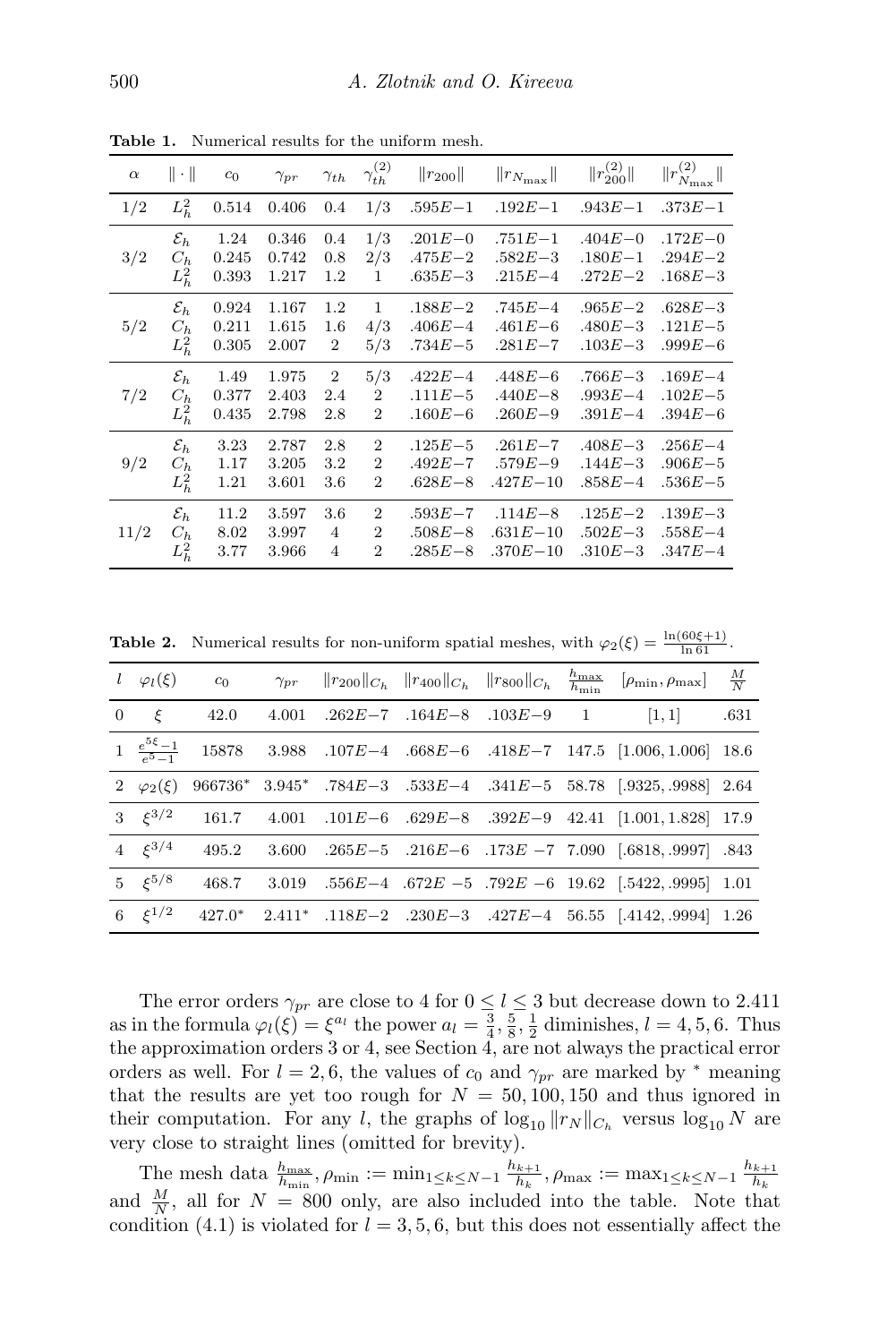| $\alpha$ | $\ \cdot\ $     | c <sub>0</sub> | $\gamma_{pr}$ | $\gamma_{th}$  | $\gamma_{th}^{(2)}$ | $  r_{200}  $ | $  r_{N_{\text{max}}}  $ | $  r_{200}^{(2)}  $ | $\ r^{(2)}_{N_{\rm max}}\ $ |
|----------|-----------------|----------------|---------------|----------------|---------------------|---------------|--------------------------|---------------------|-----------------------------|
| 1/2      | $L_h^2$         | 0.514          | 0.406         | 0.4            | 1/3                 | $.595E - 1$   | $.192E - 1$              | $.943E - 1$         | $.373E - 1$                 |
| 3/2      | $\mathcal{E}_h$ | 1.24           | 0.346         | 0.4            | 1/3                 | $.201E - 0$   | $.751E - 1$              | $.404E - 0$         | $.172E - 0$                 |
|          | $C_h$           | 0.245          | 0.742         | 0.8            | 2/3                 | $.475E - 2$   | $.582E - 3$              | $.180E - 1$         | $.294E - 2$                 |
|          | $L_h^2$         | 0.393          | 1.217         | 1.2            | 1                   | $.635E - 3$   | $.215E - 4$              | $.272E - 2$         | $.168E - 3$                 |
| 5/2      | $\mathcal{E}_h$ | 0.924          | 1.167         | 1.2            | $\mathbf{1}$        | $.188E - 2$   | $.745E - 4$              | $.965E - 2$         | $.628E - 3$                 |
|          | $C_h$           | 0.211          | 1.615         | 1.6            | 4/3                 | $.406E - 4$   | $.461E - 6$              | $.480E - 3$         | $.121E - 5$                 |
|          | $L_h^2$         | 0.305          | 2.007         | $\overline{2}$ | 5/3                 | $.734E - 5$   | $.281E - 7$              | $.103E - 3$         | $.999E - 6$                 |
| 7/2      | $\mathcal{E}_h$ | 1.49           | 1.975         | $\overline{2}$ | 5/3                 | $.422E - 4$   | $.448E - 6$              | $.766E - 3$         | $.169E - 4$                 |
|          | $C_h$           | 0.377          | 2.403         | 2.4            | $\overline{2}$      | $.111E - 5$   | $.440E - 8$              | $.993E - 4$         | $.102E - 5$                 |
|          | $L_h^2$         | 0.435          | 2.798         | 2.8            | $\overline{2}$      | $.160E - 6$   | $.260E - 9$              | $.391E - 4$         | $.394E - 6$                 |
| 9/2      | $\mathcal{E}_h$ | 3.23           | 2.787         | 2.8            | $\overline{2}$      | $.125E - 5$   | $.261E - 7$              | $.408E - 3$         | $.256E - 4$                 |
|          | $C_h$           | 1.17           | 3.205         | 3.2            | $\overline{2}$      | $.492E - 7$   | $.579E - 9$              | $.144E - 3$         | $.906E - 5$                 |
|          | $L_h^2$         | 1.21           | 3.601         | 3.6            | $\overline{2}$      | $.628E - 8$   | $.427E - 10$             | $.858E - 4$         | $.536E - 5$                 |
| 11/2     | $\mathcal{E}_h$ | 11.2           | 3.597         | 3.6            | $\overline{2}$      | $.593E - 7$   | $.114E - 8$              | $.125E - 2$         | $.139E - 3$                 |
|          | $C_h$           | 8.02           | 3.997         | $\overline{4}$ | $\overline{2}$      | $.508E - 8$   | $.631E - 10$             | $.502E - 3$         | $.558E - 4$                 |
|          | $L_h^2$         | 3.77           | 3.966         | 4              | $\overline{2}$      | $.285E - 8$   | $.370E - 10$             | $.310E - 3$         | $.347E - 4$                 |

<span id="page-21-0"></span>Table 1. Numerical results for the uniform mesh.

<span id="page-21-1"></span>**Table 2.** Numerical results for non-uniform spatial meshes, with  $\varphi_2(\xi) = \frac{\ln(60\xi+1)}{\ln 61}$ .

| $l \varphi_l(\xi)$ | $c_0$ |       |  | $\gamma_{pr}$ $  r_{200}  _{C_h}$ $  r_{400}  _{C_h}$ $  r_{800}  _{C_h}$ | $\frac{h_{\max}}{h_{\min}}$ | $[\rho_{\min}, \rho_{\max}]$ $\frac{M}{N}$                                                                                                          |      |
|--------------------|-------|-------|--|---------------------------------------------------------------------------|-----------------------------|-----------------------------------------------------------------------------------------------------------------------------------------------------|------|
| $0 \xi$            | 42.0  |       |  |                                                                           |                             | 4.001 .262E-7 .164E-8 .103E-9 1 [1,1]                                                                                                               | .631 |
|                    |       |       |  |                                                                           |                             | $1\begin{array}{cccccc} 1 & \frac{e^{5\xi}-1}{e^{5}-1} & 15878 & 3.988 & .107E-4 & .668E-6 & .418E-7 & 147.5 & [1.006,1.006] & 18.6 \\ \end{array}$ |      |
| 2 $\varphi_2(\xi)$ |       |       |  |                                                                           |                             | $966736*$ $3.945*$ $.784E-3$ $.533E-4$ $.341E-5$ $58.78$ $[.9325, .9988]$ $2.64$                                                                    |      |
| 3 $\xi^{3/2}$      |       |       |  |                                                                           |                             | $161.7$ $4.001$ $.101E-6$ $.629E-8$ $.392E-9$ $42.41$ $[1.001, 1.828]$ 17.9                                                                         |      |
| 4 $\xi^{3/4}$      | 495.2 | 3.600 |  |                                                                           |                             | $.265E-5$ $.216E-6$ $.173E-7$ 7.090 $[.6818, .9997]$ 843                                                                                            |      |
| 5 $\xi^{5/8}$      | 468.7 |       |  |                                                                           |                             | 3.019 .556 $E-4$ .672 $E-5$ .792 $E-6$ 19.62 [.5422, .9995] 1.01                                                                                    |      |
| 6 $\xi^{1/2}$      |       |       |  |                                                                           |                             | $427.0^*$ $2.411^*$ $.118E-2$ $.230E-3$ $.427E-4$ $56.55$ $[.4142, .9994]$ $1.26$                                                                   |      |

The error orders  $\gamma_{pr}$  are close to 4 for  $0 \le l \le 3$  but decrease down to 2.411 as in the formula  $\varphi_l(\xi) = \xi^{a_l}$  the power  $a_l = \frac{3}{4}, \frac{5}{8}, \frac{1}{2}$  diminishes,  $l = 4, 5, 6$ . Thus the approximation orders 3 or 4, see Section [4,](#page-15-0) are not always the practical error orders as well. For  $l = 2, 6$ , the values of  $c_0$  and  $\gamma_{pr}$  are marked by  $*$  meaning that the results are yet too rough for  $N = 50, 100, 150$  and thus ignored in their computation. For any l, the graphs of  $\log_{10} ||r_N||_{C_h}$  versus  $\log_{10} N$  are very close to straight lines (omitted for brevity).

The mesh data  $\frac{h_{\max}}{h_{\min}}$ ,  $\rho_{\min} := \min_{1 \leq k \leq N-1} \frac{h_{k+1}}{h_k}$  $\frac{1}{h_k}$ ,  $\rho_{\max} := \max_{1 \le k \le N-1} \frac{h_{k+1}}{h_k}$  $h_k$ and  $\frac{M}{N}$ , all for  $N = 800$  only, are also included into the table. Note that condition [\(4.1\)](#page-16-2) is violated for  $l = 3, 5, 6$ , but this does not essentially affect the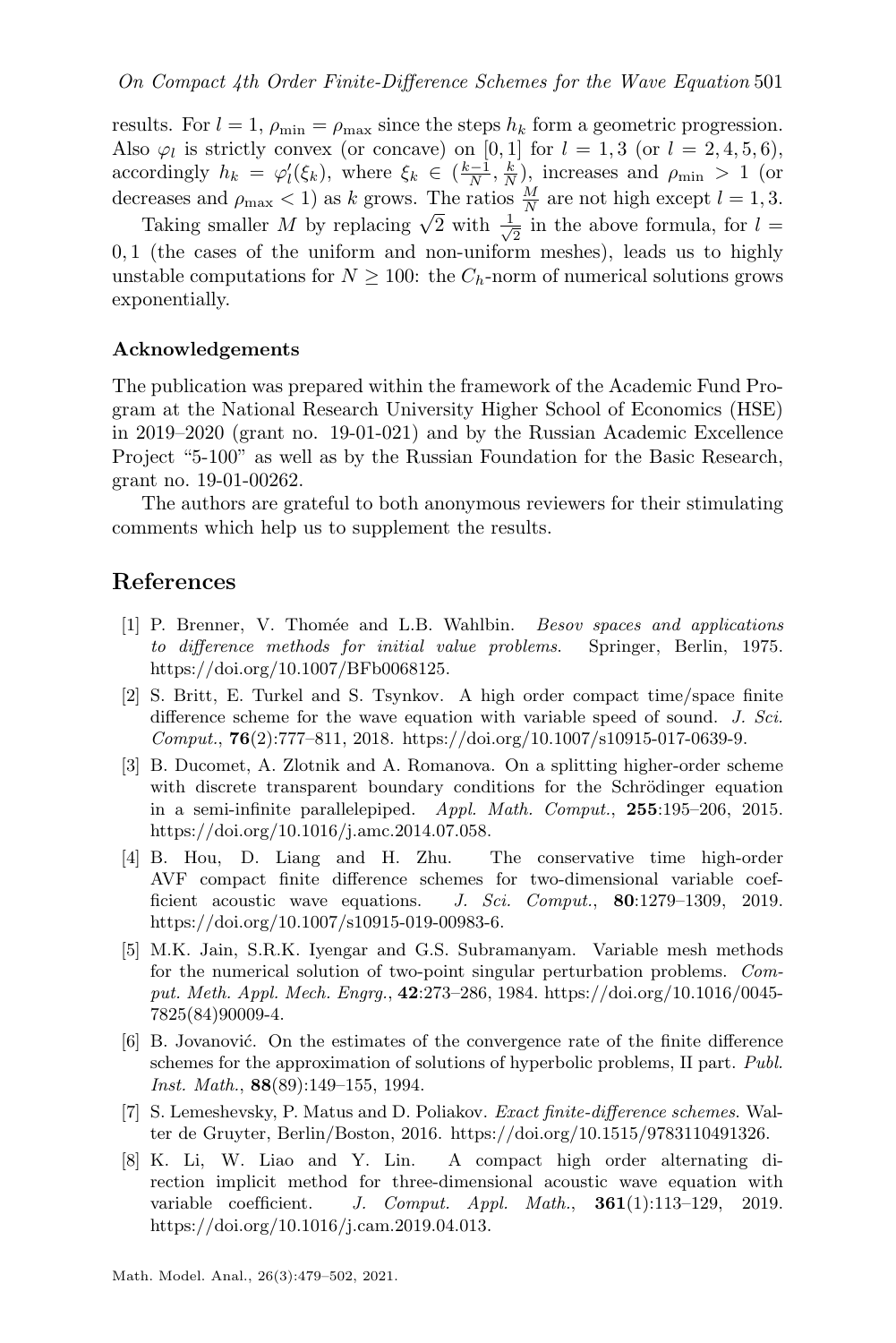results. For  $l = 1$ ,  $\rho_{\min} = \rho_{\max}$  since the steps  $h_k$  form a geometric progression. Also  $\varphi_l$  is strictly convex (or concave) on [0, 1] for  $l = 1, 3$  (or  $l = 2, 4, 5, 6$ ), accordingly  $h_k = \varphi_l'(\xi_k)$ , where  $\xi_k \in (\frac{k-1}{N}, \frac{k}{N})$ , increases and  $\rho_{\min} > 1$  (or decreases and  $\rho_{\text{max}} < 1$ ) as k grows. The ratios  $\frac{M}{N}$  are not high except  $l = 1, 3$ .

Taking smaller M by replacing  $\sqrt{2}$  with  $\frac{1}{\sqrt{2}}$  $\frac{1}{2}$  in the above formula, for  $l =$ 0, 1 (the cases of the uniform and non-uniform meshes), leads us to highly unstable computations for  $N \geq 100$ : the  $C_h$ -norm of numerical solutions grows exponentially.

#### Acknowledgements

The publication was prepared within the framework of the Academic Fund Program at the National Research University Higher School of Economics (HSE) in 2019–2020 (grant no. 19-01-021) and by the Russian Academic Excellence Project "5-100" as well as by the Russian Foundation for the Basic Research, grant no. 19-01-00262.

The authors are grateful to both anonymous reviewers for their stimulating comments which help us to supplement the results.

### References

- <span id="page-22-6"></span>[1] P. Brenner, V. Thomée and L.B. Wahlbin. *Besov spaces and applications* to difference methods for initial value problems. Springer, Berlin, 1975. [https://doi.org/10.1007/BFb0068125.](https://doi.org/10.1007/BFb0068125)
- <span id="page-22-0"></span>[2] S. Britt, E. Turkel and S. Tsynkov. A high order compact time/space finite difference scheme for the wave equation with variable speed of sound. J. Sci. Comput., 76(2):777–811, 2018. [https://doi.org/10.1007/s10915-017-0639-9.](https://doi.org/10.1007/s10915-017-0639-9)
- <span id="page-22-3"></span>[3] B. Ducomet, A. Zlotnik and A. Romanova. On a splitting higher-order scheme with discrete transparent boundary conditions for the Schrödinger equation in a semi-infinite parallelepiped. Appl. Math. Comput., 255:195–206, 2015. [https://doi.org/10.1016/j.amc.2014.07.058.](https://doi.org/10.1016/j.amc.2014.07.058)
- <span id="page-22-1"></span>[4] B. Hou, D. Liang and H. Zhu. The conservative time high-order AVF compact finite difference schemes for two-dimensional variable coefficient acoustic wave equations. J. Sci. Comput., 80:1279-1309, 2019. [https://doi.org/10.1007/s10915-019-00983-6.](https://doi.org/10.1007/s10915-019-00983-6)
- <span id="page-22-4"></span>[5] M.K. Jain, S.R.K. Iyengar and G.S. Subramanyam. Variable mesh methods for the numerical solution of two-point singular perturbation problems. Comput. Meth. Appl. Mech. Engrg., 42:273–286, 1984. [https://doi.org/10.1016/0045-](https://doi.org/10.1016/0045-7825(84)90009-4) [7825\(84\)90009-4.](https://doi.org/10.1016/0045-7825(84)90009-4)
- <span id="page-22-7"></span>[6] B. Jovanović. On the estimates of the convergence rate of the finite difference schemes for the approximation of solutions of hyperbolic problems, II part. Publ. Inst. Math., 88(89):149–155, 1994.
- <span id="page-22-5"></span>[7] S. Lemeshevsky, P. Matus and D. Poliakov. Exact finite-difference schemes. Walter de Gruyter, Berlin/Boston, 2016. [https://doi.org/10.1515/9783110491326.](https://doi.org/10.1515/9783110491326)
- <span id="page-22-2"></span>[8] K. Li, W. Liao and Y. Lin. A compact high order alternating direction implicit method for three-dimensional acoustic wave equation with variable coefficient. J. Comput. Appl. Math., 361(1):113–129, 2019. [https://doi.org/10.1016/j.cam.2019.04.013.](https://doi.org/10.1016/j.cam.2019.04.013)